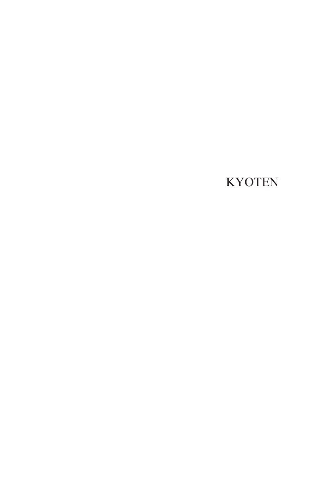## KYOTEN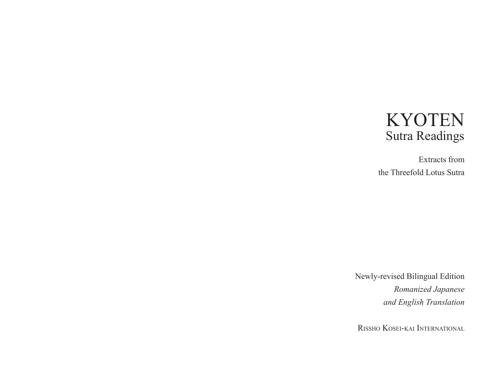# KYOTEN Sutra Readings

Extracts from the Threefold Lotus Sutra

Newly-revised Bilingual Edition *Romanized Japanese and English Translation*

Rissho Kosei-kai International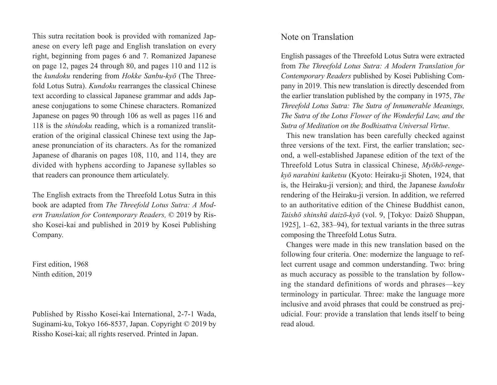This sutra recitation book is provided with romanized Japanese on every left page and English translation on every right, beginning from pages 6 and 7. Romanized Japanese on page 12, pages 24 through 80, and pages 110 and 112 is the *kundoku* rendering from *Hokke Sanbu-kyō* (The Threefold Lotus Sutra). *Kundoku* rearranges the classical Chinese text according to classical Japanese grammar and adds Japanese conjugations to some Chinese characters. Romanized Japanese on pages 90 through 106 as well as pages 116 and 118 is the *shindoku* reading, which is a romanized transliteration of the original classical Chinese text using the Japanese pronunciation of its characters. As for the romanized Japanese of dharanis on pages 108, 110, and 114, they are divided with hyphens according to Japanese syllables so that readers can pronounce them articulately.

The English extracts from the Threefold Lotus Sutra in this book are adapted from *The Threefold Lotus Sutra: A Modern Translation for Contemporary Readers,* © 2019 by Rissho Kosei-kai and published in 2019 by Kosei Publishing Company.

First edition, 1968 Ninth edition, 2019

Published by Rissho Kosei-kai International, 2-7-1 Wada, Suginami-ku, Tokyo 166-8537, Japan. Copyright © 2019 by Rissho Kosei-kai; all rights reserved. Printed in Japan.

#### Note on Translation

English passages of the Threefold Lotus Sutra were extracted from *The Threefold Lotus Sutra: A Modern Translation for Contemporary Readers* published by Kosei Publishing Company in 2019. This new translation is directly descended from the earlier translation published by the company in 1975, *The Threefold Lotus Sutra: The Sutra of Innumerable Meanings, The Sutra of the Lotus Flower of the Wonderful Law, and the Sutra of Meditation on the Bodhisattva Universal Virtue*.

This new translation has been carefully checked against three versions of the text. First, the earlier translation; second, a well-established Japanese edition of the text of the Threefold Lotus Sutra in classical Chinese, *Myōhō-rengekyō narabini kaiketsu* (Kyoto: Heiraku-ji Shoten, 1924, that is, the Heiraku-ji version); and third, the Japanese *kundoku* rendering of the Heiraku-ji version. In addition, we referred to an authoritative edition of the Chinese Buddhist canon, *Taishō shinshū daizō-kyō* (vol. 9, [Tokyo: Daizō Shuppan, 1925], 1–62, 383–94), for textual variants in the three sutras composing the Threefold Lotus Sutra.

Changes were made in this new translation based on the following four criteria. One: modernize the language to reflect current usage and common understanding. Two: bring as much accuracy as possible to the translation by following the standard definitions of words and phrases—key terminology in particular. Three: make the language more inclusive and avoid phrases that could be construed as prejudicial. Four: provide a translation that lends itself to being read aloud.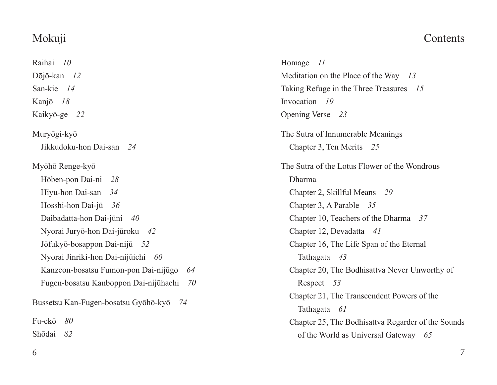## Mokuji

## Raihai *10* Dōjō-kan *12* San-kie *14* Kanjō *18* Kaikyō-ge *22* Muryōgi-kyō Jikkudoku-hon Dai-san *24* Myōhō Renge-kyō Hōben-pon Dai-ni *28* Hiyu-hon Dai-san *34* Hosshi-hon Dai-jū *36* Daibadatta-hon Dai-jūni *40* Nyorai Juryō-hon Dai-jūroku *42* Jōfukyō-bosappon Dai-nijū *52* Nyorai Jinriki-hon Dai-nijūichi *60* Kanzeon-bosatsu Fumon-pon Dai-nijūgo *64* Fugen-bosatsu Kanboppon Dai-nijūhachi *70* Bussetsu Kan-Fugen-bosatsu Gyōhō-kyō *74* Fu-ekō *80* Shōdai *82*

Homage *11* Meditation on the Place of the Way *13* Taking Refuge in the Three Treasures *15* Invocation *19* Opening Verse *23* The Sutra of Innumerable Meanings Chapter 3, Ten Merits *25* The Sutra of the Lotus Flower of the Wondrous Dharma Chapter 2, Skillful Means *29* Chapter 3, A Parable *35* Chapter 10, Teachers of the Dharma *37* Chapter 12, Devadatta *41* Chapter 16, The Life Span of the Eternal Tathagata *43* Chapter 20, The Bodhisattva Never Unworthy of Respect *53* Chapter 21, The Transcendent Powers of the Tathagata *61* Chapter 25, The Bodhisattva Regarder of the Sounds of the World as Universal Gateway *65*

### **Contents**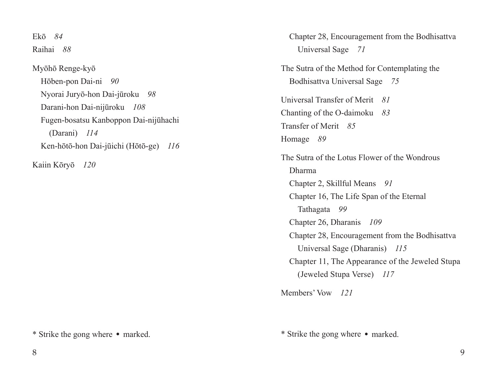Ekō *84* Raihai *88* Myōhō Renge-kyō Hōben-pon Dai-ni *90* Nyorai Juryō-hon Dai-jūroku *98* Darani-hon Dai-nijūroku *108* Fugen-bosatsu Kanboppon Dai-nijūhachi (Darani) *114* Ken-hōtō-hon Dai-jūichi (Hōtō-ge) *116*

Kaiin Kōryō *120*

\* Strike the gong where ・ marked.

Chapter 28, Encouragement from the Bodhisattva Universal Sage *71* The Sutra of the Method for Contemplating the Bodhisattva Universal Sage *75* Universal Transfer of Merit *81* Chanting of the O-daimoku *83* Transfer of Merit *85* Homage *89* The Sutra of the Lotus Flower of the Wondrous Dharma Chapter 2, Skillful Means *91* Chapter 16, The Life Span of the Eternal Tathagata *99* Chapter 26, Dharanis *109* Chapter 28, Encouragement from the Bodhisattva Universal Sage (Dharanis) *115* Chapter 11, The Appearance of the Jeweled Stupa (Jeweled Stupa Verse) *117*

Members' Vow *121*

\* Strike the gong where ・ marked.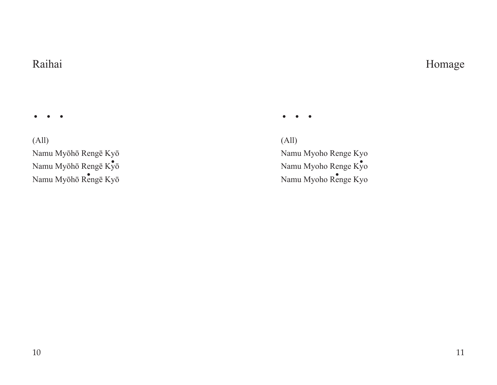### Raihai

・・・

(All) Namu Myōhō Rengē Kyō Namu Myōhō Rengē $\text{K}\!\bar{\text{y}}\bar{\text{o}}$ Namu Myōhō Rengē Kyō  $\bullet$ 

(All) Namu Myoho Renge Kyo we ky<sup>o</sup> Namu Myoho Renge Kyo Renge Kyō<br>
Namu Myoho Renge Kyō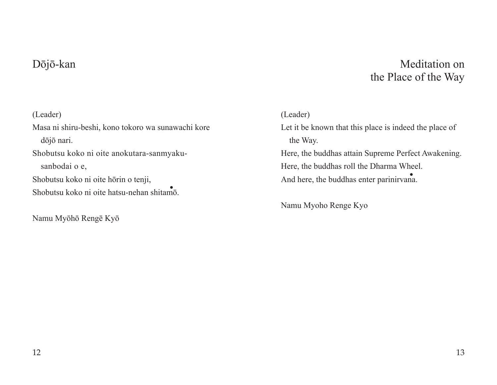### Dōjō-kan

## Meditation on the Place of the Way

#### (Leader)

Masa ni shiru-beshi, kono tokoro wa sunawachi kore dōjō nari. Shobutsu koko ni oite anokutara-sanmyakusanbodai o e, Shobutsu koko ni oite hōrin o tenji, Shobutsu koko ni oite hatsu-nehan shitamō.

Namu Myōhō Rengē Kyō

#### (Leader)

Let it be known that this place is indeed the place of the Way. Here, the buddhas attain Supreme Perfect Awakening. Here, the buddhas roll the Dharma Wheel. And here, the buddhas enter parinirvana. And here, the buddhas enter parinirvana.

Namu Myoho Renge Kyo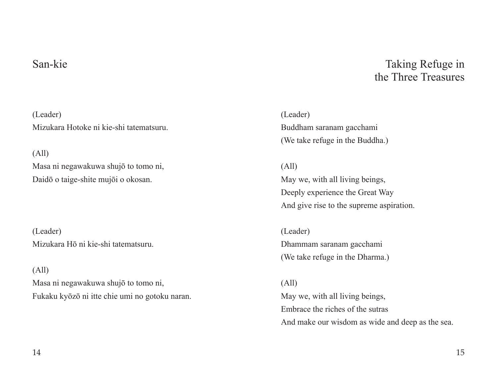### San-kie

(Leader) Mizukara Hotoke ni kie-shi tatematsuru.

(All)

Masa ni negawakuwa shujō to tomo ni, Daidō o taige-shite mujōi o okosan.

(Leader) Mizukara Hō ni kie-shi tatematsuru.

(All)

Masa ni negawakuwa shujō to tomo ni, Fukaku kyōzō ni itte chie umi no gotoku naran.

Taking Refuge in the Three Treasures

(Leader) Buddham saranam gacchami (We take refuge in the Buddha.)

(All) May we, with all living beings, Deeply experience the Great Way And give rise to the supreme aspiration.

(Leader) Dhammam saranam gacchami (We take refuge in the Dharma.)

(All) May we, with all living beings, Embrace the riches of the sutras And make our wisdom as wide and deep as the sea.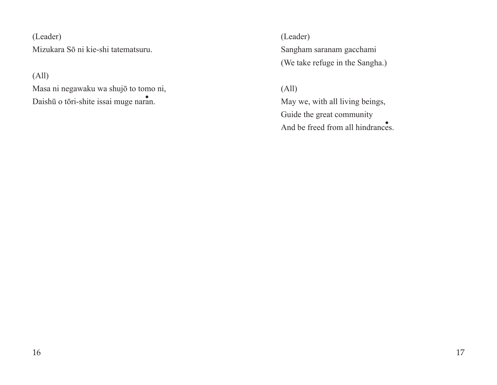(Leader) Mizukara Sō ni kie-shi tatematsuru.

(All)

Masa ni negawaku wa shujō to tomo ni, Daishū o tōri-shite issai muge naran.

(Leader) Sangham saranam gacchami (We take refuge in the Sangha.)

(All) May we, with all living beings, Guide the great community And be freed from all hindrances.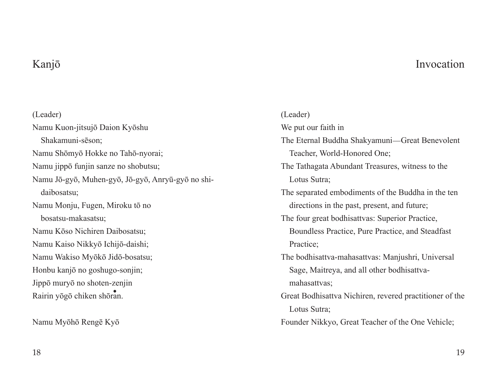### Invocation

## Kanjō

(Leader) Namu Kuon-jitsujō Daion Kyōshu Shakamuni-sēson; Namu Shōmyō Hokke no Tahō-nyorai; Namu jippō funjin sanze no shobutsu; Namu Jō-gyō, Muhen-gyō, Jō-gyō, Anryū-gyō no shidaibosatsu; Namu Monju, Fugen, Miroku tō no bosatsu-makasatsu; Namu Kōso Nichiren Daibosatsu; Namu Kaiso Nikkyō Ichijō-daishi; Namu Wakiso Myōkō Jidō-bosatsu; Honbu kanjō no goshugo-sonjin; Jippō muryō no shoten-zenjin rin<br>Rairin yōgō chiken shōran.

Namu Myōhō Rengē Kyō

(Leader) We put our faith in The Eternal Buddha Shakyamuni—Great Benevolent Teacher, World-Honored One; The Tathagata Abundant Treasures, witness to the Lotus Sutra; The separated embodiments of the Buddha in the ten directions in the past, present, and future; The four great bodhisattvas: Superior Practice, Boundless Practice, Pure Practice, and Steadfast Practice; The bodhisattva-mahasattvas: Manjushri, Universal Sage, Maitreya, and all other bodhisattvamahasattvas; Great Bodhisattva Nichiren, revered practitioner of the Lotus Sutra; Founder Nikkyo, Great Teacher of the One Vehicle;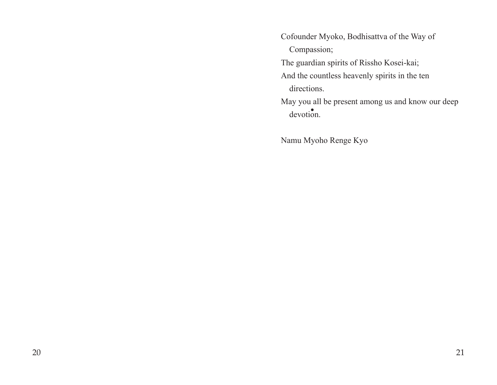Cofounder Myoko, Bodhisattva of the Way of Compassion; The guardian spirits of Rissho Kosei-kai; And the countless heavenly spirits in the ten directions.

May you all be present among us and know our deep devotion. ・

Namu Myoho Renge Kyo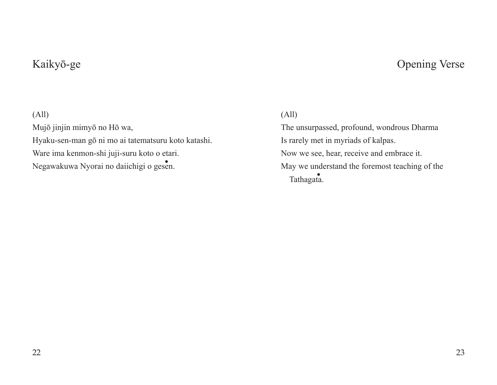## Kaikyō-ge

## Opening Verse

#### (All)

Mujō jinjin mimyō no Hō wa, Hyaku-sen-man gō ni mo ai tatematsuru koto katashi. Ware ima kenmon-shi juji-suru koto o etari. Negawakuwa Nyorai no daiichigi o gesen.

### (All)

The unsurpassed, profound, wondrous Dharma Is rarely met in myriads of kalpas. Now we see, hear, receive and embrace it. May we understand the foremost teaching of the Tathagata. **Example 19 Alexander May we under**<br>Tathagata.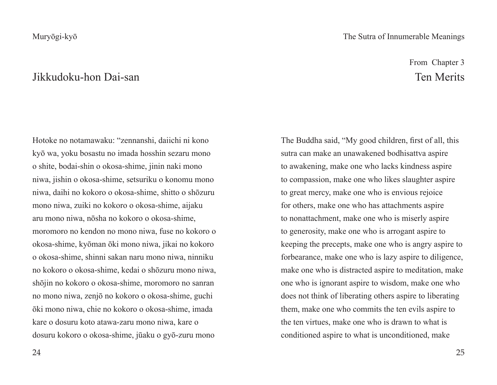#### Muryōgi-kyō

### Jikkudoku-hon Dai-san

Hotoke no notamawaku: "zennanshi, daiichi ni kono kyō wa, yoku bosastu no imada hosshin sezaru mono o shite, bodai-shin o okosa-shime, jinin naki mono niwa, jishin o okosa-shime, setsuriku o konomu mono niwa, daihi no kokoro o okosa-shime, shitto o shōzuru mono niwa, zuiki no kokoro o okosa-shime, aijaku aru mono niwa, nōsha no kokoro o okosa-shime, moromoro no kendon no mono niwa, fuse no kokoro o okosa-shime, kyōman ōki mono niwa, jikai no kokoro o okosa-shime, shinni sakan naru mono niwa, ninniku no kokoro o okosa-shime, kedai o shōzuru mono niwa, shōjin no kokoro o okosa-shime, moromoro no sanran no mono niwa, zenjō no kokoro o okosa-shime, guchi ōki mono niwa, chie no kokoro o okosa-shime, imada kare o dosuru koto atawa-zaru mono niwa, kare o dosuru kokoro o okosa-shime, jūaku o gyō-zuru mono

#### The Sutra of Innumerable Meanings

From Chapter 3 Ten Merits

The Buddha said, "My good children, first of all, this sutra can make an unawakened bodhisattva aspire to awakening, make one who lacks kindness aspire to compassion, make one who likes slaughter aspire to great mercy, make one who is envious rejoice for others, make one who has attachments aspire to nonattachment, make one who is miserly aspire to generosity, make one who is arrogant aspire to keeping the precepts, make one who is angry aspire to forbearance, make one who is lazy aspire to diligence, make one who is distracted aspire to meditation, make one who is ignorant aspire to wisdom, make one who does not think of liberating others aspire to liberating them, make one who commits the ten evils aspire to the ten virtues, make one who is drawn to what is conditioned aspire to what is unconditioned, make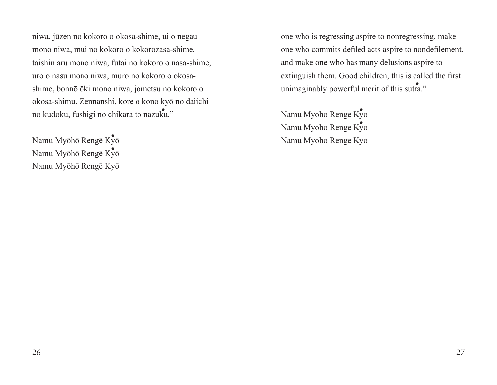niwa, jūzen no kokoro o okosa-shime, ui o negau mono niwa, mui no kokoro o kokorozasa-shime, taishin aru mono niwa, futai no kokoro o nasa-shime, uro o nasu mono niwa, muro no kokoro o okosashime, bonnō ōki mono niwa, jometsu no kokoro o okosa-shimu. Zennanshi, kore o kono kyō no daiichi no kudoku, fushigi no chikara to nazuku."

.<br>Namu Myōhō Rengē Kȳō Namu Myōhō Rengē Kyō ・ Namu Myōhō Rengē Kyō one who is regressing aspire to nonregressing, make one who commits defiled acts aspire to nondefilement, and make one who has many delusions aspire to extinguish them. Good children, this is called the first unimaginably powerful merit of this sutra."

Namu Myoho Renge Kyo Namu Myoho Renge Kyo ・ Namu Myoho Renge Kyo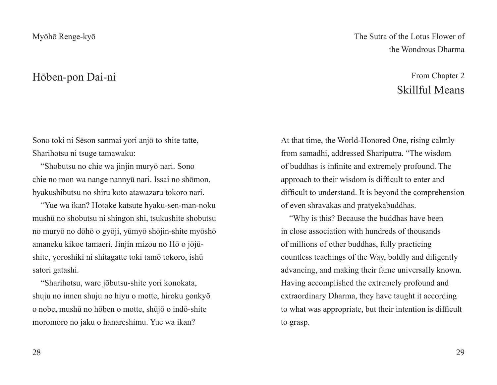### Hōben-pon Dai-ni

Sono toki ni Sēson sanmai yori anjō to shite tatte, Sharihotsu ni tsuge tamawaku:

"Shobutsu no chie wa jinjin muryō nari. Sono chie no mon wa nange nannyū nari. Issai no shōmon, byakushibutsu no shiru koto atawazaru tokoro nari.

"Yue wa ikan? Hotoke katsute hyaku-sen-man-noku mushū no shobutsu ni shingon shi, tsukushite shobutsu no muryō no dōhō o gyōji, yūmyō shōjin-shite myōshō amaneku kikoe tamaeri. Jinjin mizou no Hō o jōjūshite, yoroshiki ni shitagatte toki tamō tokoro, ishū satori gatashi.

"Sharihotsu, ware jōbutsu-shite yori konokata, shuju no innen shuju no hiyu o motte, hiroku gonkyō o nobe, mushū no hōben o motte, shūjō o indō-shite moromoro no jaku o hanareshimu. Yue wa ikan?

The Sutra of the Lotus Flower of the Wondrous Dharma

## From Chapter 2 Skillful Means

At that time, the World-Honored One, rising calmly from samadhi, addressed Shariputra. "The wisdom of buddhas is infinite and extremely profound. The approach to their wisdom is difficult to enter and difficult to understand. It is beyond the comprehension of even shravakas and pratyekabuddhas.

"Why is this? Because the buddhas have been in close association with hundreds of thousands of millions of other buddhas, fully practicing countless teachings of the Way, boldly and diligently advancing, and making their fame universally known. Having accomplished the extremely profound and extraordinary Dharma, they have taught it according to what was appropriate, but their intention is difficult to grasp.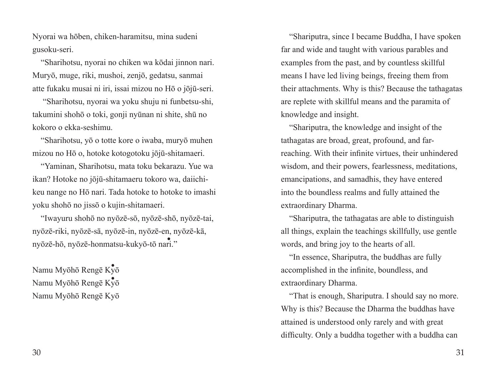Nyorai wa hōben, chiken-haramitsu, mina sudeni gusoku-seri.

"Sharihotsu, nyorai no chiken wa kōdai jinnon nari. Muryō, muge, riki, mushoi, zenjō, gedatsu, sanmai atte fukaku musai ni iri, issai mizou no Hō o jōjū-seri.

 "Sharihotsu, nyorai wa yoku shuju ni funbetsu-shi, takumini shohō o toki, gonji nyūnan ni shite, shū no kokoro o ekka-seshimu.

"Sharihotsu, yō o totte kore o iwaba, muryō muhen mizou no Hō o, hotoke kotogotoku jōjū-shitamaeri.

"Yaminan, Sharihotsu, mata toku bekarazu. Yue wa ikan? Hotoke no jōjū-shitamaeru tokoro wa, daiichikeu nange no Hō nari. Tada hotoke to hotoke to imashi yoku shohō no jissō o kujin-shitamaeri.

"Iwayuru shohō no nyōzē-sō, nyōzē-shō, nyōzē-tai, nyōzē-riki, nyōzē-sā, nyōzē-in, nyōzē-en, nyōzē-kā, nyōzē-hō, nyōzē-honmatsu-kukyō-tō nari." ・

.<br>Namu Myōhō Rengē Kȳō Namu Myōhō Rengē Kyō ・ Namu Myōhō Rengē Kyō

"Shariputra, since I became Buddha, I have spoken far and wide and taught with various parables and examples from the past, and by countless skillful means I have led living beings, freeing them from their attachments. Why is this? Because the tathagatas are replete with skillful means and the paramita of knowledge and insight.

"Shariputra, the knowledge and insight of the tathagatas are broad, great, profound, and farreaching. With their infinite virtues, their unhindered wisdom, and their powers, fearlessness, meditations, emancipations, and samadhis, they have entered into the boundless realms and fully attained the extraordinary Dharma.

"Shariputra, the tathagatas are able to distinguish all things, explain the teachings skillfully, use gentle words, and bring joy to the hearts of all.

"In essence, Shariputra, the buddhas are fully accomplished in the infinite, boundless, and extraordinary Dharma.

"That is enough, Shariputra. I should say no more. Why is this? Because the Dharma the buddhas have attained is understood only rarely and with great difficulty. Only a buddha together with a buddha can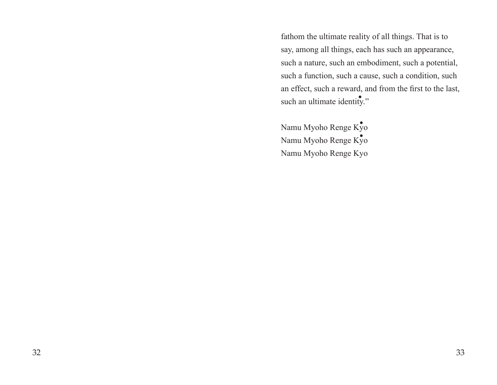fathom the ultimate reality of all things. That is to say, among all things, each has such an appearance, such a nature, such an embodiment, such a potential, such a function, such a cause, such a condition, such an effect, such a reward, and from the first to the last, such an ultimate identity."

Namu Myoho Renge Kyo Namu Myoho Renge Kyo ・ Namu Myoho Renge Kyo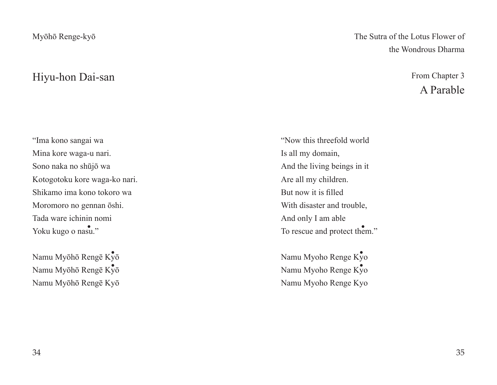### Hiyu-hon Dai-san

"Ima kono sangai wa Mina kore waga-u nari. Sono naka no shūjō wa Kotogotoku kore waga-ko nari. Shikamo ima kono tokoro wa Moromoro no gennan ōshi. Tada ware ichinin nomi Yoku kugo o nasu."

.<br>Namu Myōhō Rengē Kȳō Namu Myōhō Rengē Kyō Namu Myōhō Rengē Kyō The Sutra of the Lotus Flower of the Wondrous Dharma

> From Chapter 3 A Parable

"Now this threefold world Is all my domain, And the living beings in it Are all my children. But now it is filled With disaster and trouble, And only I am able asu." To rescue and protect them."

> Namu Myoho Renge Kyo Namu Myoho Renge Kyo Namu Myoho Renge Kyo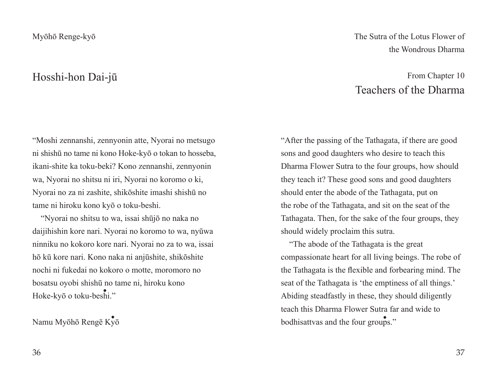### Hosshi-hon Dai-jū

"Moshi zennanshi, zennyonin atte, Nyorai no metsugo ni shishū no tame ni kono Hoke-kyō o tokan to hosseba, ikani-shite ka toku-beki? Kono zennanshi, zennyonin wa, Nyorai no shitsu ni iri, Nyorai no koromo o ki, Nyorai no za ni zashite, shikōshite imashi shishū no tame ni hiroku kono kyō o toku-beshi.

"Nyorai no shitsu to wa, issai shūjō no naka no daijihishin kore nari. Nyorai no koromo to wa, nyūwa ninniku no kokoro kore nari. Nyorai no za to wa, issai hō kū kore nari. Kono naka ni anjūshite, shikōshite nochi ni fukedai no kokoro o motte, moromoro no bosatsu oyobi shishū no tame ni, hiroku kono Hoke-kyō o toku-beshi." ・

Namu Myōhō Rengē Kyō ・

The Sutra of the Lotus Flower of the Wondrous Dharma

## From Chapter 10 Teachers of the Dharma

"After the passing of the Tathagata, if there are good sons and good daughters who desire to teach this Dharma Flower Sutra to the four groups, how should they teach it? These good sons and good daughters should enter the abode of the Tathagata, put on the robe of the Tathagata, and sit on the seat of the Tathagata. Then, for the sake of the four groups, they should widely proclaim this sutra.

"The abode of the Tathagata is the great compassionate heart for all living beings. The robe of the Tathagata is the flexible and forbearing mind. The seat of the Tathagata is 'the emptiness of all things.' Abiding steadfastly in these, they should diligently teach this Dharma Flower Sutra far and wide to bodhisattvas and the four groups."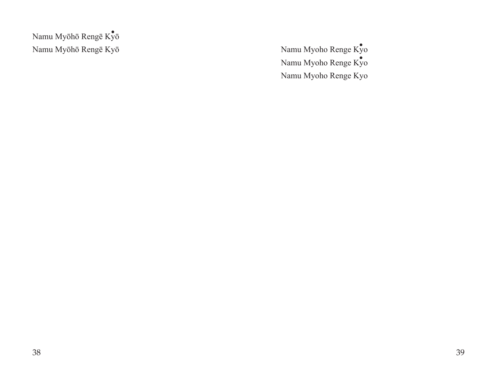Namu Myōhō Rengē Kyō *Namu Myōhō Renge Kyō* .<br>Namu Myōhō Rengē Kȳō

Namu Myoho Renge Kyo ・ Namu Myoho Renge Kyo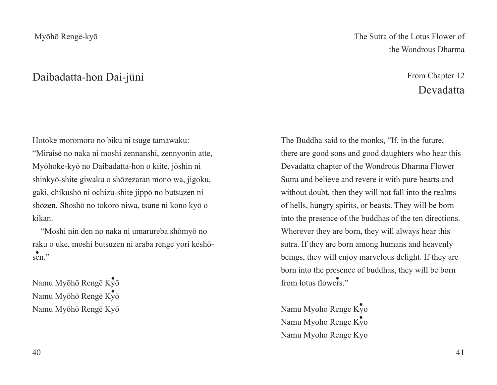### Daibadatta-hon Dai-jūni

Hotoke moromoro no biku ni tsuge tamawaku: "Miraisē no naka ni moshi zennanshi, zennyonin atte, Myōhoke-kyō no Daibadatta-hon o kiite, jōshin ni shinkyō-shite giwaku o shōzezaran mono wa, jigoku, gaki, chikushō ni ochizu-shite jippō no butsuzen ni shōzen. Shoshō no tokoro niwa, tsune ni kono kyō o kikan.

"Moshi nin den no naka ni umarureba shōmyō no raku o uke, moshi butsuzen ni araba renge yori keshōsen."

.<br>Namu Myōhō Rengē Kȳō Namu Myōhō Rengē Kyō ・ Namu Myōhō Rengē Kyō The Sutra of the Lotus Flower of the Wondrous Dharma

## From Chapter 12 Devadatta

The Buddha said to the monks, "If, in the future, there are good sons and good daughters who hear this Devadatta chapter of the Wondrous Dharma Flower Sutra and believe and revere it with pure hearts and without doubt, then they will not fall into the realms of hells, hungry spirits, or beasts. They will be born into the presence of the buddhas of the ten directions. Wherever they are born, they will always hear this sutra. If they are born among humans and heavenly beings, they will enjoy marvelous delight. If they are born into the presence of buddhas, they will be born from lotus flowers."

Namu Myoho Renge Ky<sup>o</sup> Namu Myoho Renge Kyo ・ Namu Myoho Renge Kyo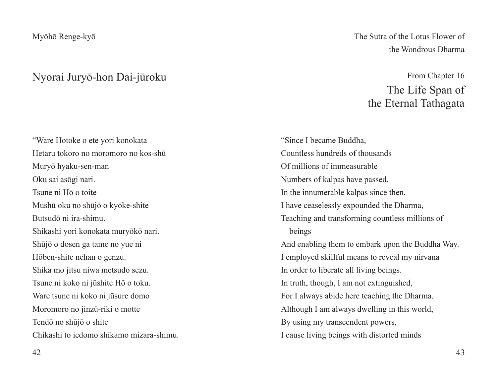#### Nyorai Juryō-hon Dai-jūroku

"Ware Hotoke o ete yori konokata Hetaru tokoro no moromoro no kos-shū Muryō hyaku-sen-man Oku sai asōgi nari. Tsune ni Hō o toite Mushū oku no shūjō o kyōke-shite Butsudō ni ira-shimu. Shikashi yori konokata muryōkō nari. Shūjō o dosen ga tame no yue ni Hōben-shite nehan o genzu. Shika mo jitsu niwa metsudo sezu. Tsune ni koko ni jūshite Hō o toku. Ware tsune ni koko ni jūsure domo Moromoro no jinzū-riki o motte Tendō no shūjō o shite Chikashi to iedomo shikamo mizara-shimu. The Sutra of the Lotus Flower of the Wondrous Dharma

## From Chapter 16 The Life Span of the Eternal Tathagata

"Since I became Buddha, Countless hundreds of thousands Of millions of immeasurable Numbers of kalpas have passed. In the innumerable kalpas since then, I have ceaselessly expounded the Dharma, Teaching and transforming countless millions of beings And enabling them to embark upon the Buddha Way. I employed skillful means to reveal my nirvana In order to liberate all living beings. In truth, though, I am not extinguished, For I always abide here teaching the Dharma. Although I am always dwelling in this world, By using my transcendent powers, I cause living beings with distorted minds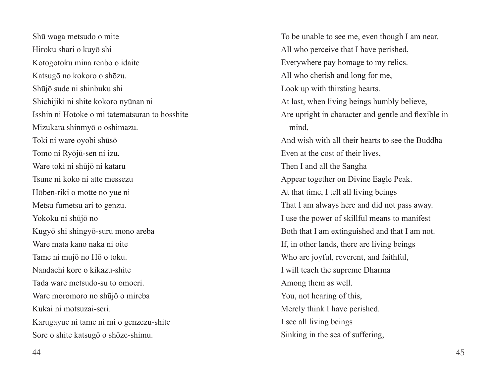Shū waga metsudo o mite Hiroku shari o kuyō shi Kotogotoku mina renbo o idaite Katsugō no kokoro o shōzu. Shūjō sude ni shinbuku shi Shichijiki ni shite kokoro nyūnan ni Isshin ni Hotoke o mi tatematsuran to hosshite Mizukara shinmyō o oshimazu. Toki ni ware oyobi shūsō Tomo ni Ryōjū-sen ni izu. Ware toki ni shūjō ni kataru Tsune ni koko ni atte messezu Hōben-riki o motte no yue ni Metsu fumetsu ari to genzu. Yokoku ni shūjō no Kugyō shi shingyō-suru mono areba Ware mata kano naka ni oite Tame ni mujō no Hō o toku. Nandachi kore o kikazu-shite Tada ware metsudo-su to omoeri. Ware moromoro no shūjō o mireba Kukai ni motsuzai-seri. Karugayue ni tame ni mi o genzezu-shite Sore o shite katsugō o shōze-shimu.

To be unable to see me, even though I am near. All who perceive that I have perished, Everywhere pay homage to my relics. All who cherish and long for me, Look up with thirsting hearts. At last, when living beings humbly believe, Are upright in character and gentle and flexible in mind, And wish with all their hearts to see the Buddha Even at the cost of their lives, Then I and all the Sangha Appear together on Divine Eagle Peak. At that time, I tell all living beings That I am always here and did not pass away. I use the power of skillful means to manifest Both that I am extinguished and that I am not. If, in other lands, there are living beings Who are joyful, reverent, and faithful, I will teach the supreme Dharma Among them as well. You, not hearing of this, Merely think I have perished. I see all living beings Sinking in the sea of suffering,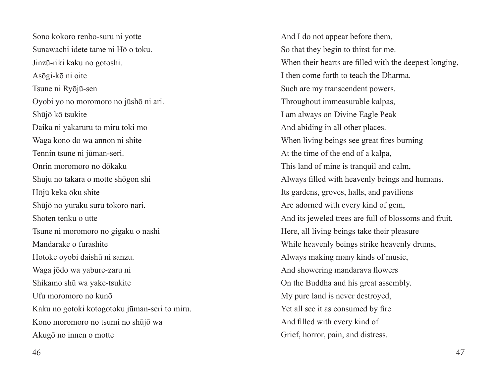Sono kokoro renbo-suru ni yotte Sunawachi idete tame ni Hō o toku. Jinzū-riki kaku no gotoshi. Asōgi-kō ni oite Tsune ni Ryōjū-sen Oyobi yo no moromoro no jūshō ni ari. Shūjō kō tsukite Daika ni yakaruru to miru toki mo Waga kono do wa annon ni shite Tennin tsune ni jūman-seri. Onrin moromoro no dōkaku Shuju no takara o motte shōgon shi Hōjū keka ōku shite Shūjō no yuraku suru tokoro nari. Shoten tenku o utte Tsune ni moromoro no gigaku o nashi Mandarake o furashite Hotoke oyobi daishū ni sanzu. Waga jōdo wa yabure-zaru ni Shikamo shū wa yake-tsukite Ufu moromoro no kunō Kaku no gotoki kotogotoku jūman-seri to miru. Kono moromoro no tsumi no shūjō wa Akugō no innen o motte

And I do not appear before them, So that they begin to thirst for me. When their hearts are filled with the deepest longing, I then come forth to teach the Dharma. Such are my transcendent powers. Throughout immeasurable kalpas, I am always on Divine Eagle Peak And abiding in all other places. When living beings see great fires burning At the time of the end of a kalpa, This land of mine is tranquil and calm, Always filled with heavenly beings and humans. Its gardens, groves, halls, and pavilions Are adorned with every kind of gem, And its jeweled trees are full of blossoms and fruit. Here, all living beings take their pleasure While heavenly beings strike heavenly drums, Always making many kinds of music, And showering mandarava flowers On the Buddha and his great assembly. My pure land is never destroyed, Yet all see it as consumed by fire And filled with every kind of Grief, horror, pain, and distress.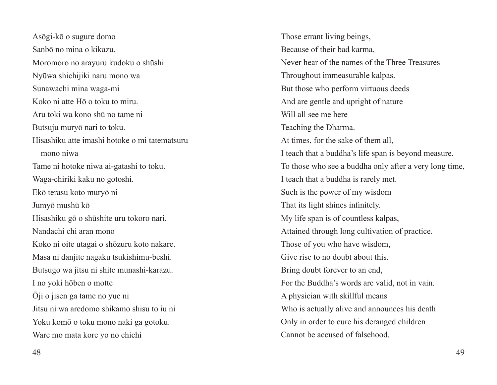Asōgi-kō o sugure domo Sanbō no mina o kikazu. Moromoro no arayuru kudoku o shūshi Nyūwa shichijiki naru mono wa Sunawachi mina waga-mi Koko ni atte Hō o toku to miru. Aru toki wa kono shū no tame ni Butsuju muryō nari to toku. Hisashiku atte imashi hotoke o mi tatematsuru mono niwa Tame ni hotoke niwa ai-gatashi to toku. Waga-chiriki kaku no gotoshi. Ekō terasu koto muryō ni Jumyō mushū kō Hisashiku gō o shūshite uru tokoro nari. Nandachi chi aran mono Koko ni oite utagai o shōzuru koto nakare. Masa ni danjite nagaku tsukishimu-beshi. Butsugo wa jitsu ni shite munashi-karazu. I no yoki hōben o motte Ōji o jisen ga tame no yue ni Jitsu ni wa aredomo shikamo shisu to iu ni Yoku komō o toku mono naki ga gotoku. Ware mo mata kore yo no chichi

Those errant living beings, Because of their bad karma, Never hear of the names of the Three Treasures Throughout immeasurable kalpas. But those who perform virtuous deeds And are gentle and upright of nature Will all see me here Teaching the Dharma. At times, for the sake of them all, I teach that a buddha's life span is beyond measure. To those who see a buddha only after a very long time, I teach that a buddha is rarely met. Such is the power of my wisdom That its light shines infinitely. My life span is of countless kalpas, Attained through long cultivation of practice. Those of you who have wisdom, Give rise to no doubt about this. Bring doubt forever to an end, For the Buddha's words are valid, not in vain. A physician with skillful means Who is actually alive and announces his death Only in order to cure his deranged children Cannot be accused of falsehood.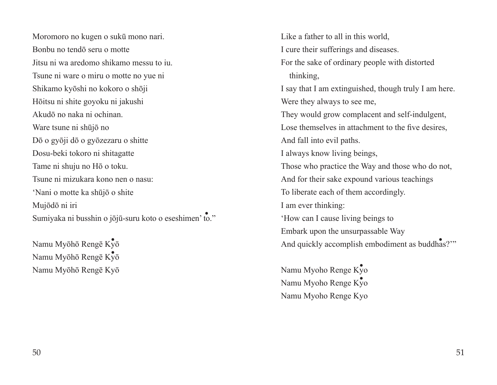Moromoro no kugen o sukū mono nari. Bonbu no tendō seru o motte Jitsu ni wa aredomo shikamo messu to iu. Tsune ni ware o miru o motte no yue ni Shikamo kyōshi no kokoro o shōji Hōitsu ni shite goyoku ni jakushi Akudō no naka ni ochinan. Ware tsune ni shūjō no Dō o gyōji dō o gyōzezaru o shitte Dosu-beki tokoro ni shitagatte Tame ni shuju no Hō o toku. Tsune ni mizukara kono nen o nasu: 'Nani o motte ka shūjō o shite Mujōdō ni iri Sumiyaka ni busshin o jōjū-suru koto o eseshimen' to." ・

Namu Myōhō Rengē Kyō Namu Myōhō Rengē Kyō Namu Myōhō Rengē Kyō

Like a father to all in this world, I cure their sufferings and diseases. For the sake of ordinary people with distorted thinking, I say that I am extinguished, though truly I am here. Were they always to see me, They would grow complacent and self-indulgent, Lose themselves in attachment to the five desires, And fall into evil paths. I always know living beings, Those who practice the Way and those who do not, And for their sake expound various teachings To liberate each of them accordingly. I am ever thinking: 'How can I cause living beings to Embark upon the unsurpassable Way And quickly accomplish embodiment as buddhas?'"  $K_{y0}^{\bullet}$ <br>And quickly accomplish embodiment as buddhas<sup>s</sup>

> Namu Myoho Renge Kyo Namu Myoho Renge Kyo Namu Myoho Renge Kyo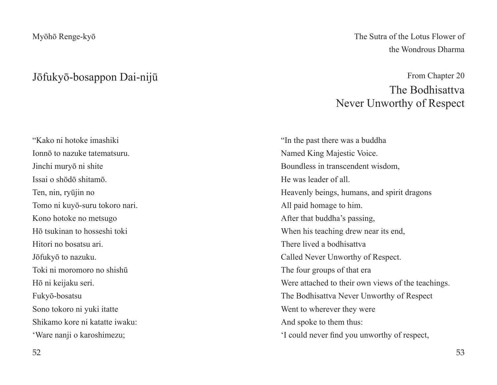### Jōfukyō-bosappon Dai-nijū

"Kako ni hotoke imashiki Ionnō to nazuke tatematsuru. Jinchi muryō ni shite Issai o shōdō shitamō. Ten, nin, ryūjin no Tomo ni kuyō-suru tokoro nari. Kono hotoke no metsugo Hō tsukinan to hosseshi toki Hitori no bosatsu ari. Jōfukyō to nazuku. Toki ni moromoro no shishū Hō ni keijaku seri. Fukyō-bosatsu Sono tokoro ni yuki itatte Shikamo kore ni katatte iwaku: 'Ware nanji o karoshimezu;

The Sutra of the Lotus Flower of the Wondrous Dharma

## From Chapter 20 The Bodhisattva Never Unworthy of Respect

"In the past there was a buddha Named King Majestic Voice. Boundless in transcendent wisdom, He was leader of all. Heavenly beings, humans, and spirit dragons All paid homage to him. After that buddha's passing, When his teaching drew near its end, There lived a bodhisattva Called Never Unworthy of Respect. The four groups of that era Were attached to their own views of the teachings. The Bodhisattva Never Unworthy of Respect Went to wherever they were And spoke to them thus: 'I could never find you unworthy of respect,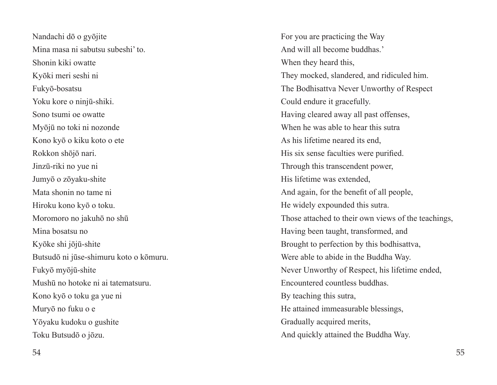Nandachi dō o gyōjite Mina masa ni sabutsu subeshi' to. Shonin kiki owatte Kyōki meri seshi ni Fukyō-bosatsu Yoku kore o ninjū-shiki. Sono tsumi oe owatte Myōjū no toki ni nozonde Kono kyō o kiku koto o ete Rokkon shōjō nari. Jinzū-riki no yue ni Jumyō o zōyaku-shite Mata shonin no tame ni Hiroku kono kyō o toku. Moromoro no jakuhō no shū Mina bosatsu no Kyōke shi jōjū-shite Butsudō ni jūse-shimuru koto o kōmuru. Fukyō myōjū-shite Mushū no hotoke ni ai tatematsuru. Kono kyō o toku ga yue ni Muryō no fuku o e Yōyaku kudoku o gushite Toku Butsudō o jōzu.

For you are practicing the Way And will all become buddhas.' When they heard this, They mocked, slandered, and ridiculed him. The Bodhisattva Never Unworthy of Respect Could endure it gracefully. Having cleared away all past offenses, When he was able to hear this sutra As his lifetime neared its end, His six sense faculties were purified. Through this transcendent power, His lifetime was extended, And again, for the benefit of all people, He widely expounded this sutra. Those attached to their own views of the teachings, Having been taught, transformed, and Brought to perfection by this bodhisattva, Were able to abide in the Buddha Way. Never Unworthy of Respect, his lifetime ended, Encountered countless buddhas. By teaching this sutra, He attained immeasurable blessings, Gradually acquired merits, And quickly attained the Buddha Way.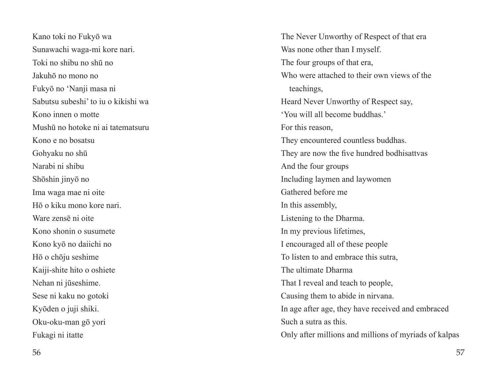Kano toki no Fukyō wa Sunawachi waga-mi kore nari. Toki no shibu no shū no Jakuhō no mono no Fukyō no 'Nanji masa ni Sabutsu subeshi' to iu o kikishi wa Kono innen o motte Mushū no hotoke ni ai tatematsuru Kono e no bosatsu Gohyaku no shū Narabi ni shibu Shōshin jinyō no Ima waga mae ni oite Hō o kiku mono kore nari. Ware zensē ni oite Kono shonin o susumete Kono kyō no daiichi no Hō o chōju seshime Kaiji-shite hito o oshiete Nehan ni jūseshime. Sese ni kaku no gotoki Kyōden o juji shiki. Oku-oku-man gō yori Fukagi ni itatte

The Never Unworthy of Respect of that era Was none other than I myself. The four groups of that era, Who were attached to their own views of the teachings, Heard Never Unworthy of Respect say, 'You will all become buddhas.' For this reason, They encountered countless buddhas. They are now the five hundred bodhisattvas And the four groups Including laymen and laywomen Gathered before me In this assembly, Listening to the Dharma. In my previous lifetimes, I encouraged all of these people To listen to and embrace this sutra, The ultimate Dharma That I reveal and teach to people, Causing them to abide in nirvana. In age after age, they have received and embraced Such a sutra as this. Only after millions and millions of myriads of kalpas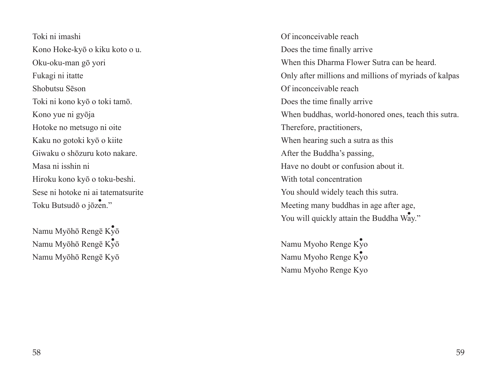Toki ni imashi Kono Hoke-kyō o kiku koto o u. Oku-oku-man gō yori Fukagi ni itatte Shobutsu Sēson Toki ni kono kyō o toki tamō. Kono yue ni gyōja Hotoke no metsugo ni oite Kaku no gotoki kyō o kiite Giwaku o shōzuru koto nakare. Masa ni isshin ni Hiroku kono kyō o toku-beshi. Sese ni hotoke ni ai tatematsurite Toku Butsudō o jōzen." ・

.<br>Namu Myōhō Rengē Kȳō Namu Myōhō Rengē Kyō ・ Namu Myōhō Rengē Kyō Of inconceivable reach Does the time finally arrive When this Dharma Flower Sutra can be heard. Only after millions and millions of myriads of kalpas Of inconceivable reach Does the time finally arrive When buddhas, world-honored ones, teach this sutra. Therefore, practitioners, When hearing such a sutra as this After the Buddha's passing, Have no doubt or confusion about it. With total concentration You should widely teach this sutra. Meeting many buddhas in age after age, You will quickly attain the Buddha  $\overline{W_{\mathbf{a}\mathbf{y}}^*}$ ."

Namu Myoho Renge Ky<sup>o</sup> Namu Myoho Renge Kyo ・ Namu Myoho Renge Kyo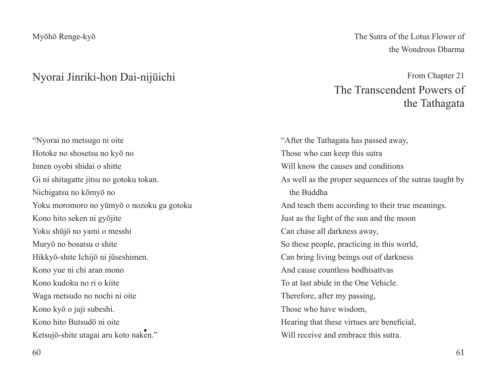#### Nyorai Jinriki-hon Dai-nijūichi

"Nyorai no metsugo ni oite Hotoke no shosetsu no kyō no Innen oyobi shidai o shitte Gi ni shitagatte jitsu no gotoku tokan. Nichigatsu no kōmyō no Yoku moromoro no yūmyō o nozoku ga gotoku Kono hito seken ni gyōjite Yoku shūjō no yami o messhi Muryō no bosatsu o shite Hikkyō-shite Ichijō ni jūseshimen. Kono yue ni chi aran mono Kono kudoku no ri o kiite Waga metsudo no nochi ni oite Kono kyō o juji subeshi. Kono hito Butsudō ni oite Ketsujō-shite utagai aru koto naken."

The Sutra of the Lotus Flower of the Wondrous Dharma

From Chapter 21 The Transcendent Powers of the Tathagata

"After the Tathagata has passed away, Those who can keep this sutra Will know the causes and conditions As well as the proper sequences of the sutras taught by the Buddha And teach them according to their true meanings. Just as the light of the sun and the moon Can chase all darkness away, So these people, practicing in this world, Can bring living beings out of darkness And cause countless bodhisattvas To at last abide in the One Vehicle. Therefore, after my passing, Those who have wisdom, Hearing that these virtues are beneficial, Will receive and embrace this sutra.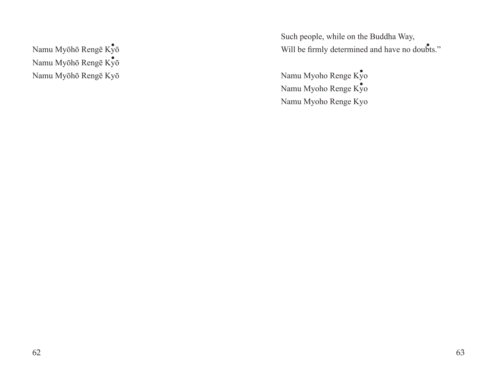.<br>Namu Myōhō Rengē Kȳō Namu Myōhō Rengē Kyō ・ Namu Myōhō Rengē Kyō Such people, while on the Buddha Way, Will be firmly determined and have no doubts."

Namu Myoho Renge Kyo Namu Myoho Renge Kyo ・ Namu Myoho Renge Kyo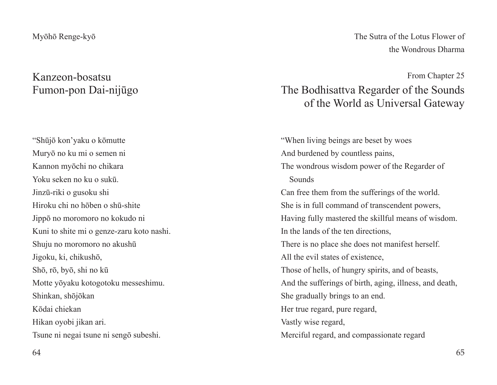## Kanzeon-bosatsu Fumon-pon Dai-nijūgo

"Shūjō kon'yaku o kōmutte Muryō no ku mi o semen ni Kannon myōchi no chikara Yoku seken no ku o sukū. Jinzū-riki o gusoku shi Hiroku chi no hōben o shū-shite Jippō no moromoro no kokudo ni Kuni to shite mi o genze-zaru koto nashi. Shuju no moromoro no akushū Jigoku, ki, chikushō, Shō, rō, byō, shi no kū Motte yōyaku kotogotoku messeshimu. Shinkan, shōjōkan Kōdai chiekan Hikan oyobi jikan ari. Tsune ni negai tsune ni sengō subeshi.

The Sutra of the Lotus Flower of the Wondrous Dharma

From Chapter 25

## The Bodhisattva Regarder of the Sounds of the World as Universal Gateway

"When living beings are beset by woes And burdened by countless pains, The wondrous wisdom power of the Regarder of Sounds Can free them from the sufferings of the world. She is in full command of transcendent powers, Having fully mastered the skillful means of wisdom. In the lands of the ten directions, There is no place she does not manifest herself. All the evil states of existence, Those of hells, of hungry spirits, and of beasts, And the sufferings of birth, aging, illness, and death, She gradually brings to an end. Her true regard, pure regard, Vastly wise regard, Merciful regard, and compassionate regard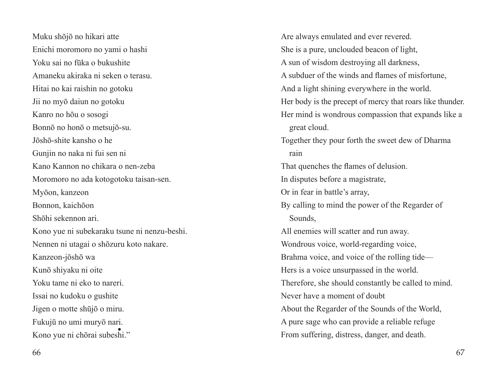Muku shōjō no hikari atte Enichi moromoro no yami o hashi Yoku sai no fūka o bukushite Amaneku akiraka ni seken o terasu. Hitai no kai raishin no gotoku Jii no myō daiun no gotoku Kanro no hōu o sosogi Bonnō no honō o metsujō-su. Jōshō-shite kansho o he Gunjin no naka ni fui sen ni Kano Kannon no chikara o nen-zeba Moromoro no ada kotogotoku taisan-sen. Myōon, kanzeon Bonnon, kaichōon Shōhi sekennon ari. Kono yue ni subekaraku tsune ni nenzu-beshi. Nennen ni utagai o shōzuru koto nakare. Kanzeon-jōshō wa Kunō shiyaku ni oite Yoku tame ni eko to nareri. Issai no kudoku o gushite Jigen o motte shūjō o miru. Fukujū no umi muryō nari. Kono yue ni chōrai subeshi."

Are always emulated and ever revered. She is a pure, unclouded beacon of light, A sun of wisdom destroying all darkness, A subduer of the winds and flames of misfortune, And a light shining everywhere in the world. Her body is the precept of mercy that roars like thunder. Her mind is wondrous compassion that expands like a great cloud. Together they pour forth the sweet dew of Dharma rain That quenches the flames of delusion. In disputes before a magistrate, Or in fear in battle's array, By calling to mind the power of the Regarder of Sounds, All enemies will scatter and run away. Wondrous voice, world-regarding voice, Brahma voice, and voice of the rolling tide— Hers is a voice unsurpassed in the world. Therefore, she should constantly be called to mind. Never have a moment of doubt About the Regarder of the Sounds of the World, A pure sage who can provide a reliable refuge From suffering, distress, danger, and death.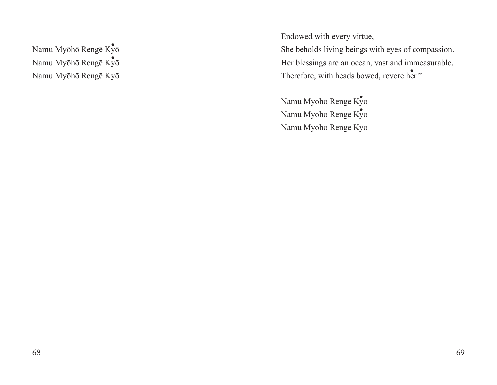.<br>Namu Myōhō Rengē Kȳō Namu Myōhō Rengē Kyō ・Namu Myōhō Rengē Kyō Endowed with every virtue,

She beholds living beings with eyes of compassion. Her blessings are an ocean, vast and immeasurable. Therefore, with heads bowed, revere her."

Namu Myoho Renge Kyo Namu Myoho Renge Kyo Namu Myoho Renge Kyo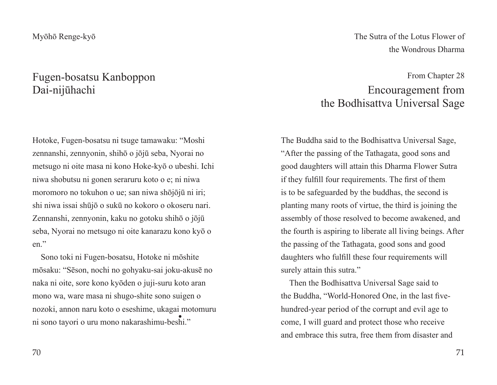## Fugen-bosatsu Kanboppon Dai-nijūhachi

Hotoke, Fugen-bosatsu ni tsuge tamawaku: "Moshi zennanshi, zennyonin, shihō o jōjū seba, Nyorai no metsugo ni oite masa ni kono Hoke-kyō o ubeshi. Ichi niwa shobutsu ni gonen seraruru koto o e; ni niwa moromoro no tokuhon o ue; san niwa shōjōjū ni iri; shi niwa issai shūjō o sukū no kokoro o okoseru nari. Zennanshi, zennyonin, kaku no gotoku shihō o jōjū seba, Nyorai no metsugo ni oite kanarazu kono kyō o en."

Sono toki ni Fugen-bosatsu, Hotoke ni mōshite mōsaku: "Sēson, nochi no gohyaku-sai joku-akusē no naka ni oite, sore kono kyōden o juji-suru koto aran mono wa, ware masa ni shugo-shite sono suigen o nozoki, annon naru koto o eseshime, ukagai motomuru ni sono tayori o uru mono nakarashimu-beshi."

The Sutra of the Lotus Flower of the Wondrous Dharma

## From Chapter 28 Encouragement from the Bodhisattva Universal Sage

The Buddha said to the Bodhisattva Universal Sage, "After the passing of the Tathagata, good sons and good daughters will attain this Dharma Flower Sutra if they fulfill four requirements. The first of them is to be safeguarded by the buddhas, the second is planting many roots of virtue, the third is joining the assembly of those resolved to become awakened, and the fourth is aspiring to liberate all living beings. After the passing of the Tathagata, good sons and good daughters who fulfill these four requirements will surely attain this sutra."

Then the Bodhisattva Universal Sage said to the Buddha, "World-Honored One, in the last fivehundred-year period of the corrupt and evil age to come, I will guard and protect those who receive and embrace this sutra, free them from disaster and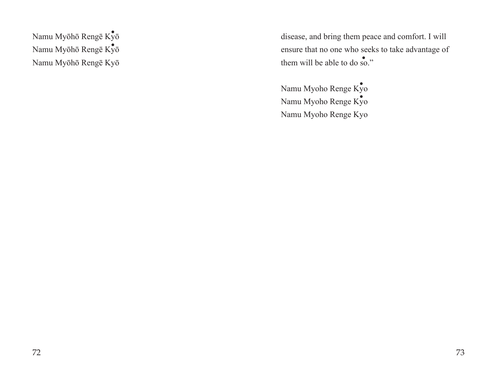.<br>Namu Myōhō Rengē Kȳō Namu Myōhō Rengē Kyō ・Namu Myōhō Rengē Kyō

disease, and bring them peace and comfort. I will ensure that no one who seeks to take advantage of them will be able to do so."

Namu Myoho Renge Kyo Namu Myoho Renge Kyo ・ Namu Myoho Renge Kyo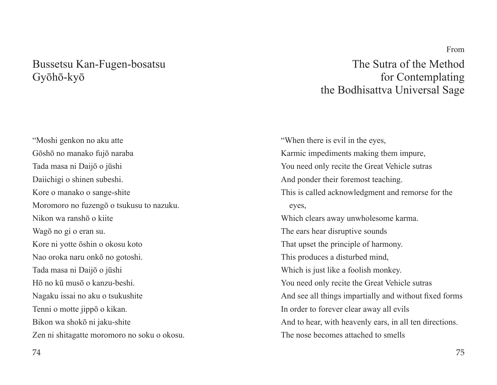### Bussetsu Kan-Fugen-bosatsu Gyōhō-kyō

"Moshi genkon no aku atte Gōshō no manako fujō naraba Tada masa ni Daijō o jūshi Daiichigi o shinen subeshi. Kore o manako o sange-shite Moromoro no fuzengō o tsukusu to nazuku. Nikon wa ranshō o kiite Wagō no gi o eran su. Kore ni yotte ōshin o okosu koto Nao oroka naru onkō no gotoshi. Tada masa ni Daijō o jūshi Hō no kū musō o kanzu-beshi. Nagaku issai no aku o tsukushite Tenni o motte jippō o kikan. Bikon wa shokō ni jaku-shite Zen ni shitagatte moromoro no soku o okosu.

The Sutra of the Method for Contemplating the Bodhisattva Universal Sage

"When there is evil in the eyes, Karmic impediments making them impure, You need only recite the Great Vehicle sutras And ponder their foremost teaching. This is called acknowledgment and remorse for the eyes, Which clears away unwholesome karma. The ears hear disruptive sounds That upset the principle of harmony. This produces a disturbed mind, Which is just like a foolish monkey. You need only recite the Great Vehicle sutras And see all things impartially and without fixed forms In order to forever clear away all evils And to hear, with heavenly ears, in all ten directions. The nose becomes attached to smells

From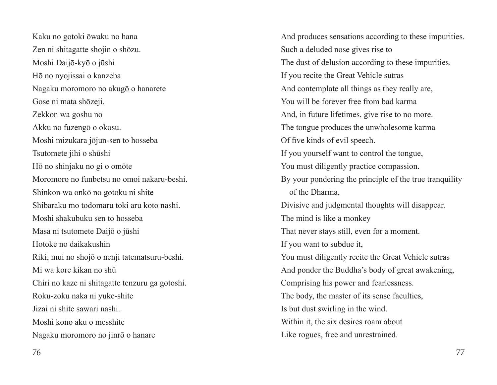Kaku no gotoki ōwaku no hana Zen ni shitagatte shojin o shōzu. Moshi Daijō-kyō o jūshi Hō no nyojissai o kanzeba Nagaku moromoro no akugō o hanarete Gose ni mata shōzeji. Zekkon wa goshu no Akku no fuzengō o okosu. Moshi mizukara jōjun-sen to hosseba Tsutomete jihi o shūshi Hō no shinjaku no gi o omōte Moromoro no funbetsu no omoi nakaru-beshi. Shinkon wa onkō no gotoku ni shite Shibaraku mo todomaru toki aru koto nashi. Moshi shakubuku sen to hosseba Masa ni tsutomete Daijō o jūshi Hotoke no daikakushin Riki, mui no shojō o nenji tatematsuru-beshi. Mi wa kore kikan no shū Chiri no kaze ni shitagatte tenzuru ga gotoshi. Roku-zoku naka ni yuke-shite Jizai ni shite sawari nashi. Moshi kono aku o messhite Nagaku moromoro no jinrō o hanare

And produces sensations according to these impurities. Such a deluded nose gives rise to The dust of delusion according to these impurities. If you recite the Great Vehicle sutras And contemplate all things as they really are, You will be forever free from bad karma And, in future lifetimes, give rise to no more. The tongue produces the unwholesome karma Of five kinds of evil speech. If you yourself want to control the tongue, You must diligently practice compassion. By your pondering the principle of the true tranquility of the Dharma, Divisive and judgmental thoughts will disappear. The mind is like a monkey That never stays still, even for a moment. If you want to subdue it, You must diligently recite the Great Vehicle sutras And ponder the Buddha's body of great awakening, Comprising his power and fearlessness. The body, the master of its sense faculties, Is but dust swirling in the wind. Within it, the six desires roam about Like rogues, free and unrestrained.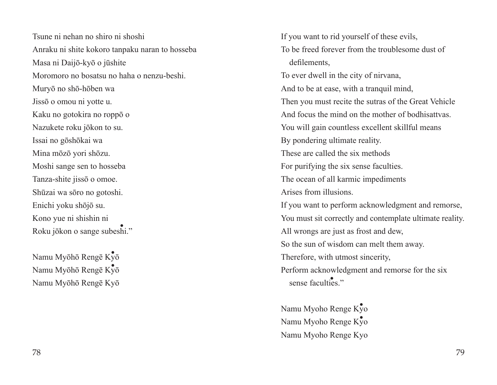Tsune ni nehan no shiro ni shoshi Anraku ni shite kokoro tanpaku naran to hosseba Masa ni Daijō-kyō o jūshite Moromoro no bosatsu no haha o nenzu-beshi. Muryō no shō-hōben wa Jissō o omou ni yotte u. Kaku no gotokira no roppō o Nazukete roku jōkon to su. Issai no gōshōkai wa Mina mōzō yori shōzu. Moshi sange sen to hosseba Tanza-shite jissō o omoe. Shūzai wa sōro no gotoshi. Enichi yoku shōjō su. Kono yue ni shishin ni Roku jōkon o sange subeshi." ・

.<br>Namu Myōhō Rengē Kȳō Namu Myōhō Rengē Kyō Namu Myōhō Rengē Kyō

If you want to rid yourself of these evils, To be freed forever from the troublesome dust of defilements, To ever dwell in the city of nirvana, And to be at ease, with a tranquil mind, Then you must recite the sutras of the Great Vehicle And focus the mind on the mother of bodhisattvas. You will gain countless excellent skillful means By pondering ultimate reality. These are called the six methods For purifying the six sense faculties. The ocean of all karmic impediments Arises from illusions. If you want to perform acknowledgment and remorse, You must sit correctly and contemplate ultimate reality. All wrongs are just as frost and dew, So the sun of wisdom can melt them away. Therefore, with utmost sincerity, Perform acknowledgment and remorse for the six sense faculties."  $K_y\overline{0}$  Perform acknowl<br>Sense faculties

> Namu Myoho Renge Kyo Namu Myoho Renge Kyo ・ Namu Myoho Renge Kyo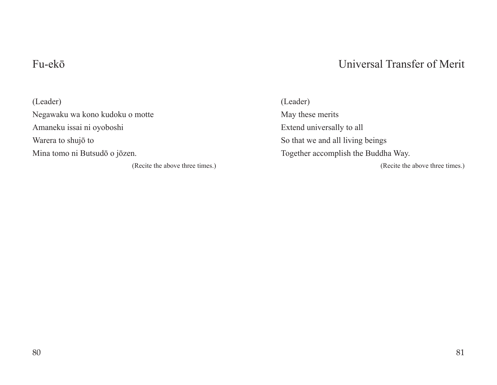## Fu-ekō

## Universal Transfer of Merit

(Leader) Negawaku wa kono kudoku o motte Amaneku issai ni oyoboshi Warera to shujō to Mina tomo ni Butsudō o jōzen.

(Recite the above three times.)

(Leader) May these merits Extend universally to all So that we and all living beings Together accomplish the Buddha Way. (Recite the above three times.)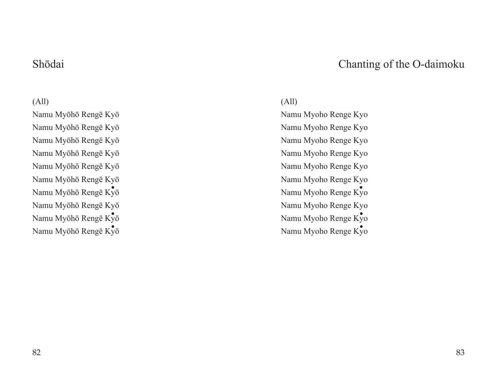### Shōdai

## Chanting of the O-daimoku

#### (All)

Namu Myōhō Rengē Kyō Namu Myōhō Rengē Kyō Namu Myōhō Rengē Kyō Namu Myōhō Rengē Kyō Namu Myōhō Rengē Kyō Namu Myōhō Rengē Kyō Namu Myōhō Rengē Kyō ・Namu Myōhō Rengē Kyō Namu Myōhō Rengē Kyō Namu Myōhō Rengē Kyō

#### (All)

Namu Myoho Renge Kyo Namu Myoho Renge Kyo Namu Myoho Renge Kyo Namu Myoho Renge Kyo Namu Myoho Renge Kyo Namu Myoho Renge Kyo Namu Myoho Renge Kyo Namu Myoho Renge Kyo Namu Myoho Renge Kyo Namu Myoho Renge Kyo ・  $x_y$ <sub>v</sub> $\overline{x}_y$ <sub>v</sub> $\overline{x}_y$ <sub>v</sub> $\overline{x}_y$ <sup>v</sup> $\overline{x}_y$ <sup>v</sup> $\overline{x}_y$ <sup>v</sup> $\overline{x}_y$ <sup>v</sup> $\overline{x}_y$ <sup>v</sup> $\overline{x}_y$ <sup>v</sup> $\overline{x}_y$ <sup>v</sup> $\overline{x}_y$ <sup>v</sup> $\overline{x}_y$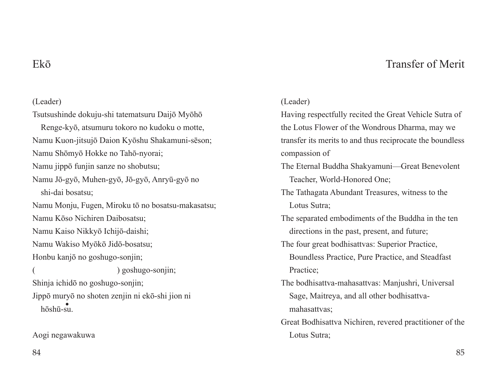### Transfer of Merit

### Ekō

#### (Leader)

Tsutsushinde dokuju-shi tatematsuru Daijō Myōhō Renge-kyō, atsumuru tokoro no kudoku o motte, Namu Kuon-jitsujō Daion Kyōshu Shakamuni-sēson; Namu Shōmyō Hokke no Tahō-nyorai; Namu jippō funjin sanze no shobutsu; Namu Jō-gyō, Muhen-gyō, Jō-gyō, Anryū-gyō no shi-dai bosatsu; Namu Monju, Fugen, Miroku tō no bosatsu-makasatsu; Namu Kōso Nichiren Daibosatsu; Namu Kaiso Nikkyō Ichijō-daishi; Namu Wakiso Myōkō Jidō-bosatsu; Honbu kanjō no goshugo-sonjin; ( ) goshugo-sonjin; Shinja ichidō no goshugo-sonjin; Jippō muryō no shoten zenjin ni ekō-shi jion ni hōshū-su.

Aogi negawakuwa

#### (Leader)

Having respectfully recited the Great Vehicle Sutra of the Lotus Flower of the Wondrous Dharma, may we transfer its merits to and thus reciprocate the boundless compassion of

- The Eternal Buddha Shakyamuni—Great Benevolent Teacher, World-Honored One;
- The Tathagata Abundant Treasures, witness to the Lotus Sutra;
- The separated embodiments of the Buddha in the ten directions in the past, present, and future;
- The four great bodhisattvas: Superior Practice, Boundless Practice, Pure Practice, and Steadfast Practice;
- The bodhisattva-mahasattvas: Manjushri, Universal Sage, Maitreya, and all other bodhisattvamahasattvas;
- Great Bodhisattva Nichiren, revered practitioner of the Lotus Sutra;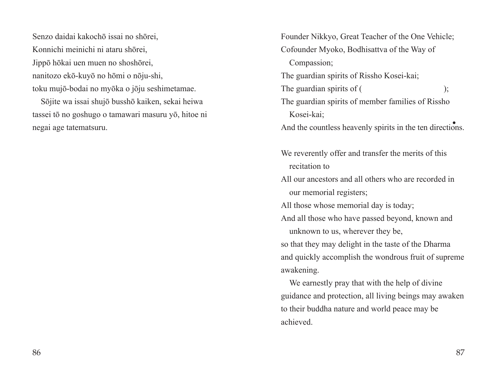Senzo daidai kakochō issai no shōrei, Konnichi meinichi ni ataru shōrei, Jippō hōkai uen muen no shoshōrei, nanitozo ekō-kuyō no hōmi o nōju-shi, toku mujō-bodai no myōka o jōju seshimetamae.

Sōjite wa issai shujō busshō kaiken, sekai heiwa tassei tō no goshugo o tamawari masuru yō, hitoe ni negai age tatematsuru.

Founder Nikkyo, Great Teacher of the One Vehicle; Cofounder Myoko, Bodhisattva of the Way of Compassion; The guardian spirits of Rissho Kosei-kai; The guardian spirits of (
); The guardian spirits of member families of Rissho Kosei-kai; And the countless heavenly spirits in the ten directions.

We reverently offer and transfer the merits of this recitation to

All our ancestors and all others who are recorded in our memorial registers;

All those whose memorial day is today;

And all those who have passed beyond, known and unknown to us, wherever they be,

so that they may delight in the taste of the Dharma and quickly accomplish the wondrous fruit of supreme awakening.

We earnestly pray that with the help of divine guidance and protection, all living beings may awaken to their buddha nature and world peace may be achieved.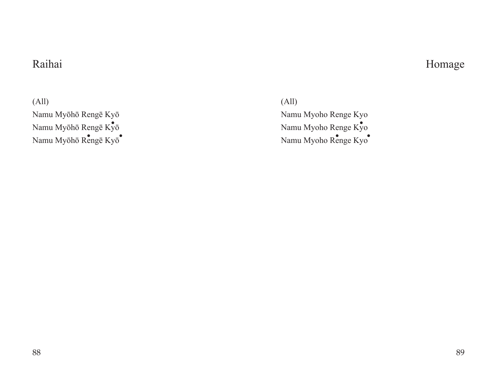## Raihai

## Homage

(All) Namu Myōhō Rengē Kyō Namu Myōhō Rengē $\text{K}\!\bar{\text{y}}$ ō Namu Myōhō Rengē Kyō<sup>•</sup>

(All) Namu Myoho Renge Kyo Namu Myoho Renge Kyo ・ enge Kyō<br>
Renge Kyō<br>
Namu Myoho Renge Kyō<br>
Namu Myoho Renge Kyō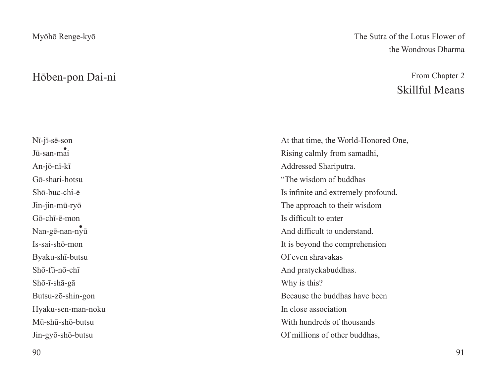### Hōben-pon Dai-ni

## Nī-jī-sē-son Jū-san-mai ・ An-jō-nī-kī Gō-shari-hotsu Shō-buc-chi-ē Jin-jin-mū-ryō Gō-chī-ē-mon Nan-gē-nan-nyū ・Is-sai-shō-mon Byaku-shī-butsu Shō-fū-nō-chī Shō-ī-shā-gā Butsu-zō-shin-gon Hyaku-sen-man-noku Mū-shū-shō-butsu Jin-gyō-shō-butsu

#### The Sutra of the Lotus Flower of the Wondrous Dharma

## From Chapter 2 Skillful Means

At that time, the World-Honored One, Rising calmly from samadhi, Addressed Shariputra. "The wisdom of buddhas Is infinite and extremely profound. The approach to their wisdom Is difficult to enter And difficult to understand. It is beyond the comprehension Of even shravakas And pratyekabuddhas. Why is this? Because the buddhas have been In close association With hundreds of thousands Of millions of other buddhas,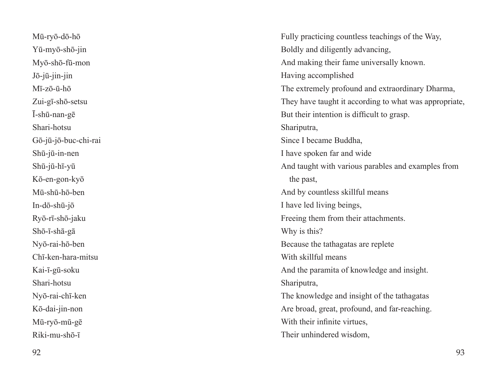Mū-ryō-dō-hō Yū-myō-shō-jin Myō-shō-fū-mon Jō-jū-jin-jin Mī-zō-ū-hō Zui-gī-shō-setsu Ī-shū-nan-gē Shari-hotsu Gō-jū-jō-buc-chi-rai Shū-jū-in-nen Shū-jū-hī-yū Kō-en-gon-kyō Mū-shū-hō-ben In-dō-shū-jō Ryō-rī-shō-jaku Shō-ī-shā-gā Nyō-rai-hō-ben Chī-ken-hara-mitsu Kai-ī-gū-soku Shari-hotsu Nyō-rai-chī-ken Kō-dai-jin-non Mū-ryō-mū-gē Riki-mu-shō-ī

Fully practicing countless teachings of the Way, Boldly and diligently advancing, And making their fame universally known. Having accomplished The extremely profound and extraordinary Dharma, They have taught it according to what was appropriate, But their intention is difficult to grasp. Shariputra, Since I became Buddha, I have spoken far and wide And taught with various parables and examples from the past, And by countless skillful means I have led living beings, Freeing them from their attachments. Why is this? Because the tathagatas are replete With skillful means And the paramita of knowledge and insight. Shariputra, The knowledge and insight of the tathagatas Are broad, great, profound, and far-reaching. With their infinite virtues. Their unhindered wisdom,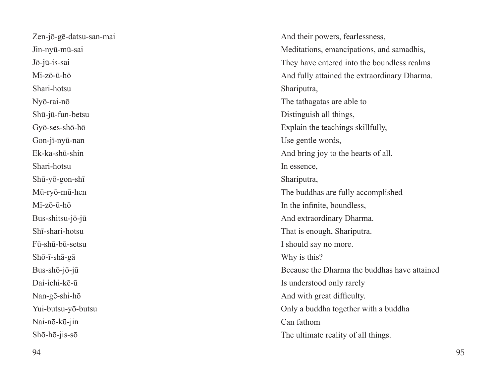Zen-jō-gē-datsu-san-mai Jin-nyū-mū-sai Jō-jū-is-sai Mi-zō-ū-hō Shari-hotsu Nyō-rai-nō Shū-jū-fun-betsu Gyō-ses-shō-hō Gon-jī-nyū-nan Ek-ka-shū-shin Shari-hotsu Shū-yō-gon-shī Mū-ryō-mū-hen Mī-zō-ū-hō Bus-shitsu-jō-jū Shī-shari-hotsu Fū-shū-bū-setsu Shō-ī-shā-gā Bus-shō-jō-jū Dai-ichi-kē-ū Nan-gē-shi-hō Yui-butsu-yō-butsu Nai-nō-kū-jin Shō-hō-jis-sō

And their powers, fearlessness, Meditations, emancipations, and samadhis, They have entered into the boundless realms And fully attained the extraordinary Dharma. Shariputra, The tathagatas are able to Distinguish all things, Explain the teachings skillfully, Use gentle words, And bring joy to the hearts of all. In essence, Shariputra, The buddhas are fully accomplished In the infinite, boundless, And extraordinary Dharma. That is enough, Shariputra. I should say no more. Why is this? Because the Dharma the buddhas have attained Is understood only rarely And with great difficulty. Only a buddha together with a buddha Can fathom The ultimate reality of all things.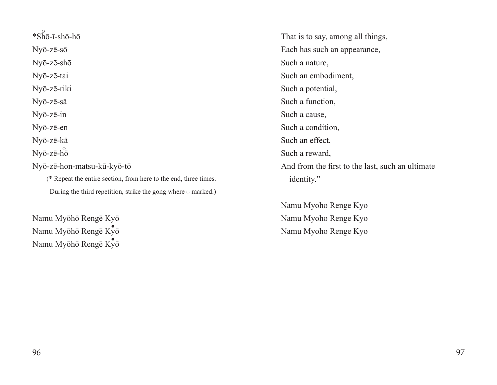$*\overrightarrow{\text{Sh}}\overline{o}$ -ī-shō-hō Nyō-zē-sō Nyō-zē-shō Nyō-zē-tai Nyō-zē-riki Nyō-zē-sā Nyō-zē-in Nyō-zē-en Nyō-zē-kā Nyō-zē-hō Nyō-zē-hon-matsu-kū-kyō-tō (\* Repeat the entire section, from here to the end, three times. During the third repetition, strike the gong where  $\circ$  marked.)

Namu Myōhō Rengē Kyō Namu Myōhō Rengē Kyō Namu Myōhō Rengē Kyō

That is to say, among all things, Each has such an appearance, Such a nature, Such an embodiment, Such a potential, Such a function, Such a cause, Such a condition, Such an effect, Such a reward, And from the first to the last, such an ultimate identity."

Namu Myoho Renge Kyo Namu Myoho Renge Kyo Namu Myoho Renge Kyo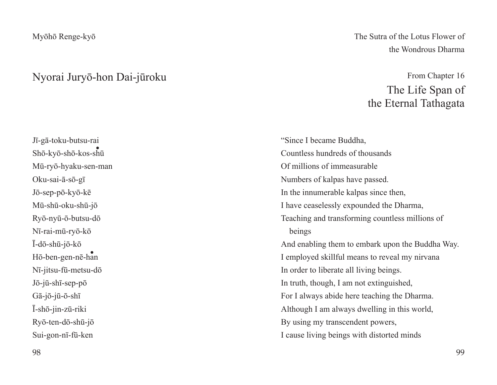#### Nyorai Juryō-hon Dai-jūroku

Jī-gā-toku-butsu-rai Shō-kyō-shō-kos-shū ・ Mū-ryō-hyaku-sen-man Oku-sai-ā-sō-gī Jō-sep-pō-kyō-kē Mū-shū-oku-shū-jō Ryō-nyū-ō-butsu-dō Nī-rai-mū-ryō-kō Ī-dō-shū-jō-kō Hō-ben-gen-nē-han ・Nī-jitsu-fū-metsu-dō Jō-jū-shī-sep-pō Gā-jō-jū-ō-shī Ī-shō-jin-zū-riki Ryō-ten-dō-shū-jō Sui-gon-nī-fū-ken

The Sutra of the Lotus Flower of the Wondrous Dharma

## From Chapter 16 The Life Span of the Eternal Tathagata

"Since I became Buddha, Countless hundreds of thousands Of millions of immeasurable Numbers of kalpas have passed. In the innumerable kalpas since then, I have ceaselessly expounded the Dharma, Teaching and transforming countless millions of beings And enabling them to embark upon the Buddha Way. I employed skillful means to reveal my nirvana In order to liberate all living beings. In truth, though, I am not extinguished, For I always abide here teaching the Dharma. Although I am always dwelling in this world, By using my transcendent powers, I cause living beings with distorted minds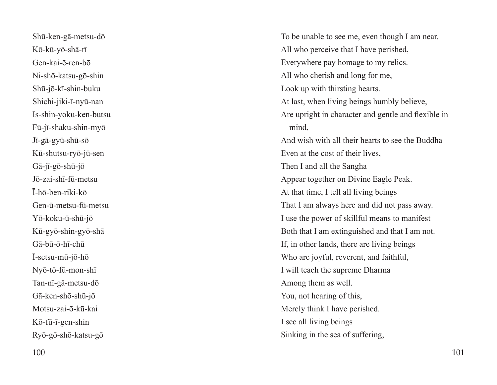Shū-ken-gā-metsu-dō Kō-kū-yō-shā-rī Gen-kai-ē-ren-bō Ni-shō-katsu-gō-shin Shū-jō-kī-shin-buku Shichi-jiki-ī-nyū-nan Is-shin-yoku-ken-butsu Fū-jī-shaku-shin-myō Jī-gā-gyū-shū-sō Kū-shutsu-ryō-jū-sen Gā-jī-gō-shū-jō Jō-zai-shī-fū-metsu Ī-hō-ben-riki-kō Gen-ū-metsu-fū-metsu Yō-koku-ū-shū-jō Kū-gyō-shin-gyō-shā Gā-bū-ō-hī-chū Ī-setsu-mū-jō-hō Nyō-tō-fū-mon-shī Tan-nī-gā-metsu-dō Gā-ken-shō-shū-jō Motsu-zai-ō-kū-kai Kō-fū-ī-gen-shin Ryō-gō-shō-katsu-gō

To be unable to see me, even though I am near. All who perceive that I have perished, Everywhere pay homage to my relics. All who cherish and long for me, Look up with thirsting hearts. At last, when living beings humbly believe, Are upright in character and gentle and flexible in mind, And wish with all their hearts to see the Buddha Even at the cost of their lives, Then I and all the Sangha Appear together on Divine Eagle Peak. At that time, I tell all living beings That I am always here and did not pass away. I use the power of skillful means to manifest Both that I am extinguished and that I am not. If, in other lands, there are living beings Who are joyful, reverent, and faithful, I will teach the supreme Dharma Among them as well. You, not hearing of this, Merely think I have perished. I see all living beings Sinking in the sea of suffering,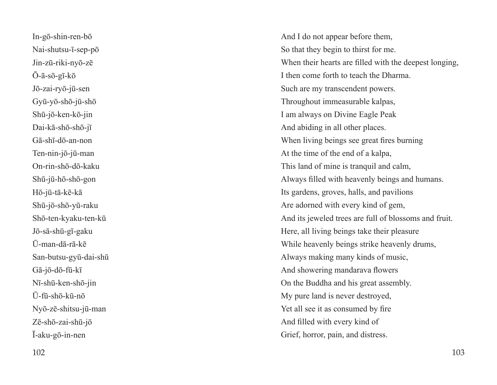In-gō-shin-ren-bō Nai-shutsu-ī-sep-pō Jin-zū-riki-nyō-zē Ō-ā-sō-gī-kō Jō-zai-ryō-jū-sen Gyū-yō-shō-jū-shō Shū-jō-ken-kō-jin Dai-kā-shō-shō-jī Gā-shī-dō-an-non Ten-nin-jō-jū-man On-rin-shō-dō-kaku Shū-jū-hō-shō-gon Hō-jū-tā-kē-kā Shū-jō-shō-yū-raku Shō-ten-kyaku-ten-kū Jō-sā-shū-gī-gaku Ū-man-dā-rā-kē San-butsu-gyū-dai-shū Gā-jō-dō-fū-kī Nī-shū-ken-shō-jin Ū-fū-shō-kū-nō Nyō-zē-shitsu-jū-man Zē-shō-zai-shū-jō Ī-aku-gō-in-nen

And I do not appear before them, So that they begin to thirst for me. When their hearts are filled with the deepest longing, I then come forth to teach the Dharma. Such are my transcendent powers. Throughout immeasurable kalpas, I am always on Divine Eagle Peak And abiding in all other places. When living beings see great fires burning At the time of the end of a kalpa, This land of mine is tranquil and calm, Always filled with heavenly beings and humans. Its gardens, groves, halls, and pavilions Are adorned with every kind of gem, And its jeweled trees are full of blossoms and fruit. Here, all living beings take their pleasure While heavenly beings strike heavenly drums, Always making many kinds of music, And showering mandarava flowers On the Buddha and his great assembly. My pure land is never destroyed, Yet all see it as consumed by fire And filled with every kind of Grief, horror, pain, and distress.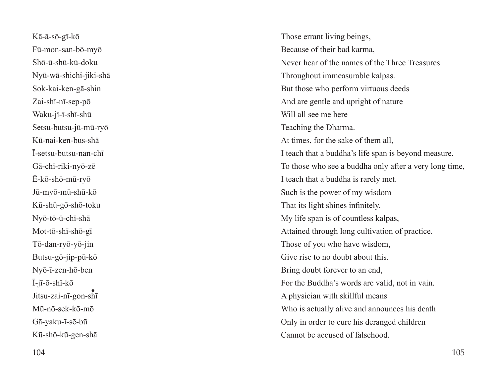Kā-ā-sō-gī-kō Fū-mon-san-bō-myō Shō-ū-shū-kū-doku Nyū-wā-shichi-jiki-shā Sok-kai-ken-gā-shin Zai-shī-nī-sep-pō Waku-jī-ī-shī-shū Setsu-butsu-jū-mū-ryō Kū-nai-ken-bus-shā Ī-setsu-butsu-nan-chī Gā-chī-riki-nyō-zē Ē-kō-shō-mū-ryō Jū-myō-mū-shū-kō Kū-shū-gō-shō-toku Nyō-tō-ū-chī-shā Mot-tō-shī-shō-gī Tō-dan-ryō-yō-jin Butsu-gō-jip-pū-kō Nyō-ī-zen-hō-ben Ī-jī-ō-shī-kō Jitsu-zai-nī-gon-shī ・Mū-nō-sek-kō-mō Gā-yaku-ī-sē-bū Kū-shō-kū-gen-shā

Those errant living beings, Because of their bad karma, Never hear of the names of the Three Treasures Throughout immeasurable kalpas. But those who perform virtuous deeds And are gentle and upright of nature Will all see me here Teaching the Dharma. At times, for the sake of them all, I teach that a buddha's life span is beyond measure. To those who see a buddha only after a very long time, I teach that a buddha is rarely met. Such is the power of my wisdom That its light shines infinitely. My life span is of countless kalpas, Attained through long cultivation of practice. Those of you who have wisdom, Give rise to no doubt about this. Bring doubt forever to an end, For the Buddha's words are valid, not in vain. A physician with skillful means Who is actually alive and announces his death Only in order to cure his deranged children Cannot be accused of falsehood.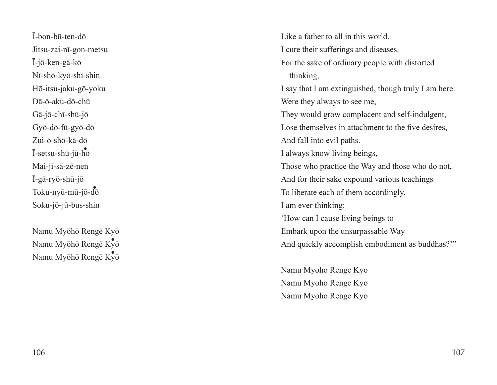Ī-bon-bū-ten-dō Jitsu-zai-nī-gon-metsu Ī-jō-ken-gā-kō Nī-shō-kyō-shī-shin Hō-itsu-jaku-gō-yoku Dā-ō-aku-dō-chū Gā-jō-chī-shū-jō Gyō-dō-fū-gyō-dō Zui-ō-shō-kā-dō Ī-setsu-shū-jū-hō ・ Mai-jī-sā-zē-nen Ī-gā-ryō-shū-jō Toku-nyū-mū-jō-dō ・Soku-jō-jū-bus-shin

Namu Myōhō Rengē Kyō Namu Myōhō Rengē Kyō Namu Myōhō Rengē Kyō ・

Like a father to all in this world, I cure their sufferings and diseases. For the sake of ordinary people with distorted thinking, I say that I am extinguished, though truly I am here. Were they always to see me, They would grow complacent and self-indulgent, Lose themselves in attachment to the five desires, And fall into evil paths. I always know living beings, Those who practice the Way and those who do not, And for their sake expound various teachings To liberate each of them accordingly. I am ever thinking: 'How can I cause living beings to Embark upon the unsurpassable Way And quickly accomplish embodiment as buddhas?'"

Namu Myoho Renge Kyo Namu Myoho Renge Kyo Namu Myoho Renge Kyo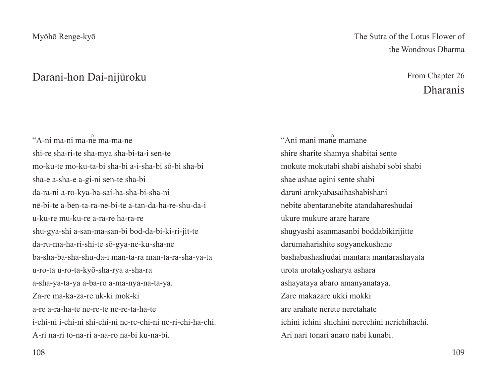#### Darani-hon Dai-nijūroku

The Sutra of the Lotus Flower of the Wondrous Dharma

## From Chapter 26 Dharanis

"A-ni ma-ni ma-ne ma-ma-ne shi-re sha-ri-te sha-mya sha-bi-ta-i sen-te mo-ku-te mo-ku-ta-bi sha-bi a-i-sha-bi sō-bi sha-bi sha-e a-sha-e a-gi-ni sen-te sha-bi da-ra-ni a-ro-kya-ba-sai-ha-sha-bi-sha-ni nē-bi-te a-ben-ta-ra-ne-bi-te a-tan-da-ha-re-shu-da-i u-ku-re mu-ku-re a-ra-re ha-ra-re shu-gya-shi a-san-ma-san-bi bod-da-bi-ki-ri-jit-te da-ru-ma-ha-ri-shi-te sō-gya-ne-ku-sha-ne ba-sha-ba-sha-shu-da-i man-ta-ra man-ta-ra-sha-ya-ta u-ro-ta u-ro-ta-kyō-sha-rya a-sha-ra a-sha-ya-ta-ya a-ba-ro a-ma-nya-na-ta-ya. Za-re ma-ka-za-re uk-ki mok-ki a-re a-ra-ha-te ne-re-te ne-re-ta-ha-te i-chi-ni i-chi-ni shi-chi-ni ne-re-chi-ni ne-ri-chi-ha-chi. A-ri na-ri to-na-ri a-na-ro na-bi ku-na-bi.

"Ani mani mane mamane shire sharite shamya shabitai sente mokute mokutabi shabi aishabi sobi shabi shae ashae agini sente shabi darani arokyabasaihashabishani nebite abentaranebite atandahareshudai ukure mukure arare harare shugyashi asanmasanbi boddabikirijitte darumaharishite sogyanekushane bashabashashudai mantara mantarashayata urota urotakyosharya ashara ashayataya abaro amanyanataya. Zare makazare ukki mokki are arahate nerete neretahate ichini ichini shichini nerechini nerichihachi. Ari nari tonari anaro nabi kunabi.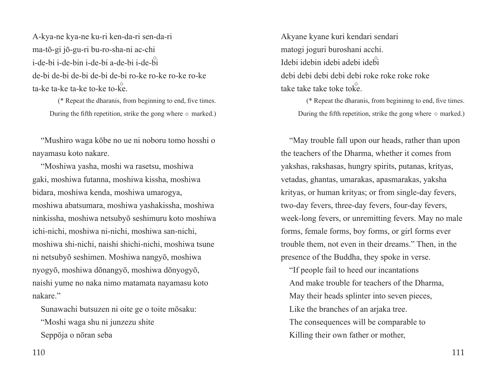A-kya-ne kya-ne ku-ri ken-da-ri sen-da-ri ma-tō-gi jō-gu-ri bu-ro-sha-ni ac-chi i-de-bi i-de-bin i-de-bi a-de-bi i-de-bi de-bi de-bi de-bi de-bi de-bi ro-ke ro-ke ro-ke ro-ke ta-ke ta-ke ta-ke to-ke to-ke.

(\* Repeat the dharanis, from beginning to end, five times. During the fifth repetition, strike the gong where  $\circ$  marked.)

"Mushiro waga kōbe no ue ni noboru tomo hosshi o nayamasu koto nakare.

"Moshiwa yasha, moshi wa rasetsu, moshiwa gaki, moshiwa futanna, moshiwa kissha, moshiwa bidara, moshiwa kenda, moshiwa umarogya, moshiwa abatsumara, moshiwa yashakissha, moshiwa ninkissha, moshiwa netsubyō seshimuru koto moshiwa ichi-nichi, moshiwa ni-nichi, moshiwa san-nichi, moshiwa shi-nichi, naishi shichi-nichi, moshiwa tsune ni netsubyō seshimen. Moshiwa nangyō, moshiwa nyogyō, moshiwa dōnangyō, moshiwa dōnyogyō, naishi yume no naka nimo matamata nayamasu koto nakare."

Sunawachi butsuzen ni oite ge o toite mōsaku: "Moshi waga shu ni junzezu shite Seppōja o nōran seba

Akyane kyane kuri kendari sendari matogi joguri buroshani acchi. Idebi idebin idebi adebi idebi debi debi debi debi debi roke roke roke roke take take take toke toke.

(\* Repeat the dharanis, from begininng to end, five times. During the fifth repetition, strike the gong where  $\circ$  marked.)

"May trouble fall upon our heads, rather than upon the teachers of the Dharma, whether it comes from yakshas, rakshasas, hungry spirits, putanas, krityas, vetadas, ghantas, umarakas, apasmarakas, yaksha krityas, or human krityas; or from single-day fevers, two-day fevers, three-day fevers, four-day fevers, week-long fevers, or unremitting fevers. May no male forms, female forms, boy forms, or girl forms ever trouble them, not even in their dreams." Then, in the presence of the Buddha, they spoke in verse.

"If people fail to heed our incantations And make trouble for teachers of the Dharma, May their heads splinter into seven pieces, Like the branches of an arjaka tree. The consequences will be comparable to Killing their own father or mother,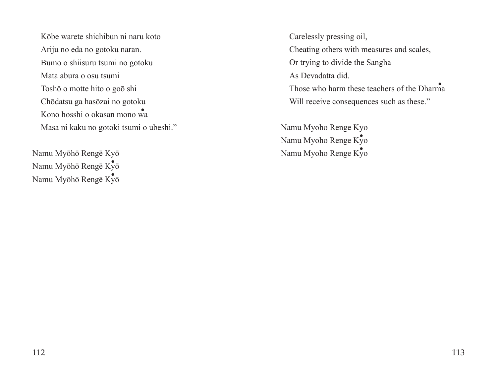Kōbe warete shichibun ni naru koto Ariju no eda no gotoku naran. Bumo o shiisuru tsumi no gotoku Mata abura o osu tsumi Toshō o motte hito o goō shi Chōdatsu ga hasōzai no gotoku Kono hosshi o okasan mono wa ・ Masa ni kaku no gotoki tsumi o ubeshi."

Namu Myōhō Rengē Kyō Namu Myōhō Rengē Kyō ・ Namu Myōhō Rengē Kyō ・

Carelessly pressing oil, Cheating others with measures and scales, Or trying to divide the Sangha As Devadatta did. Those who harm these teachers of the Dharma Will receive consequences such as these."

Namu Myoho Renge Kyo Namu Myoho Renge Kyo Namu Myoho Renge Kyo ・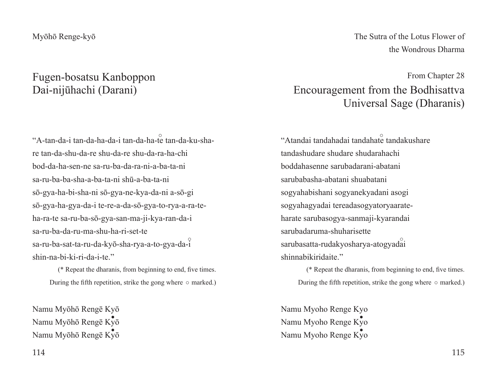## Fugen-bosatsu Kanboppon Dai-nijūhachi (Darani)

"A-tan-da-i tan-da-ha-da-i tan-da-ha-te tan-da-ku-share tan-da-shu-da-re shu-da-re shu-da-ra-ha-chi bod-da-ha-sen-ne sa-ru-ba-da-ra-ni-a-ba-ta-ni sa-ru-ba-ba-sha-a-ba-ta-ni shū-a-ba-ta-ni sō-gya-ha-bi-sha-ni sō-gya-ne-kya-da-ni a-sō-gi sō-gya-ha-gya-da-i te-re-a-da-sō-gya-to-rya-a-ra-teha-ra-te sa-ru-ba-sō-gya-san-ma-ji-kya-ran-da-i sa-ru-ba-da-ru-ma-shu-ha-ri-set-te sa-ru-ba-sat-ta-ru-da-kyō-sha-rya-a-to-gya-da-i shin-na-bi-ki-ri-da-i-te."

(\* Repeat the dharanis, from beginning to end, five times. During the fifth repetition, strike the gong where  $\circ$  marked.)

Namu Myōhō Rengē Kyō Namu Myōhō Rengē Kyō Namu Myōhō Rengē Kyō The Sutra of the Lotus Flower of the Wondrous Dharma

## From Chapter 28 Encouragement from the Bodhisattva Universal Sage (Dharanis)

"Atandai tandahadai tandahate tandakushare tandashudare shudare shudarahachi boddahasenne sarubadarani-abatani sarubabasha-abatani shuabatani sogyahabishani sogyanekyadani asogi sogyahagyadai tereadasogyatoryaarateharate sarubasogya-sanmaji-kyarandai sarubadaruma-shuharisette sarubasatta-rudakyosharya-atogyadai shinnabikiridaite."

(\* Repeat the dharanis, from beginning to end, five times. During the fifth repetition, strike the gong where  $\circ$  marked.)

Namu Myoho Renge Kyo Namu Myoho Renge Kyo Namu Myoho Renge Kyo ・kyō<br>
Namu Myoho Renge Kyo<br>
Namu Myoho Renge Kyo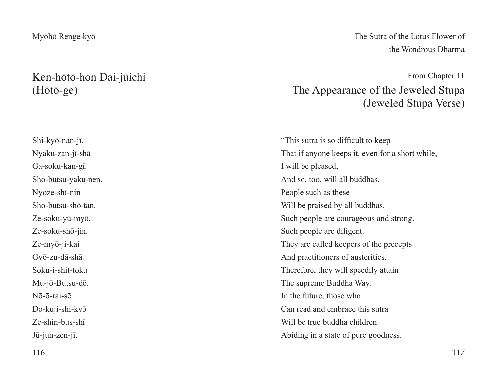## Ken-hōtō-hon Dai-jūichi (Hōtō-ge)

Shi-kyō-nan-jī. Nyaku-zan-jī-shā Ga-soku-kan-gī. Sho-butsu-yaku-nen. Nyoze-shī-nin Sho-butsu-shō-tan. Ze-soku-yū-myō. Ze-soku-shō-jin. Ze-myō-ji-kai Gyō-zu-dā-shā. Soku-i-shit-toku Mu-jō-Butsu-dō. Nō-ō-rai-sē Do-kuji-shi-kyō Ze-shin-bus-shī Jū-jun-zen-jī.

The Sutra of the Lotus Flower of the Wondrous Dharma

From Chapter 11 The Appearance of the Jeweled Stupa (Jeweled Stupa Verse)

"This sutra is so difficult to keep That if anyone keeps it, even for a short while, I will be pleased, And so, too, will all buddhas. People such as these Will be praised by all buddhas. Such people are courageous and strong. Such people are diligent. They are called keepers of the precepts And practitioners of austerities. Therefore, they will speedily attain The supreme Buddha Way. In the future, those who Can read and embrace this sutra Will be true buddha children Abiding in a state of pure goodness.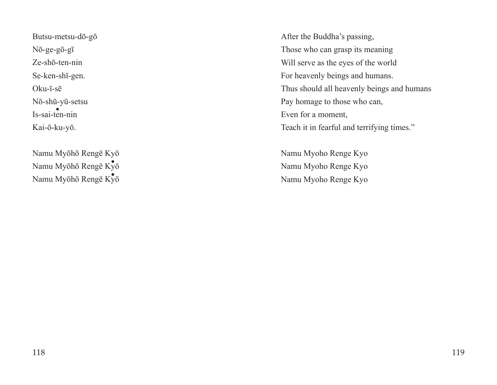Butsu-metsu-dō-gō Nō-ge-gō-gī Ze-shō-ten-nin Se-ken-shī-gen. Oku-ī-sē Nō-shū-yū-setsu Is-sai-ten-nin Kai-ō-ku-yō.

Namu Myōhō Rengē Kyō Namu Myōhō Rengē Kyō ・ Namu Myōhō Rengē Kyō ・

After the Buddha's passing, Those who can grasp its meaning Will serve as the eyes of the world For heavenly beings and humans. Thus should all heavenly beings and humans Pay homage to those who can, Even for a moment, Teach it in fearful and terrifying times."

Namu Myoho Renge Kyo Namu Myoho Renge Kyo Namu Myoho Renge Kyo